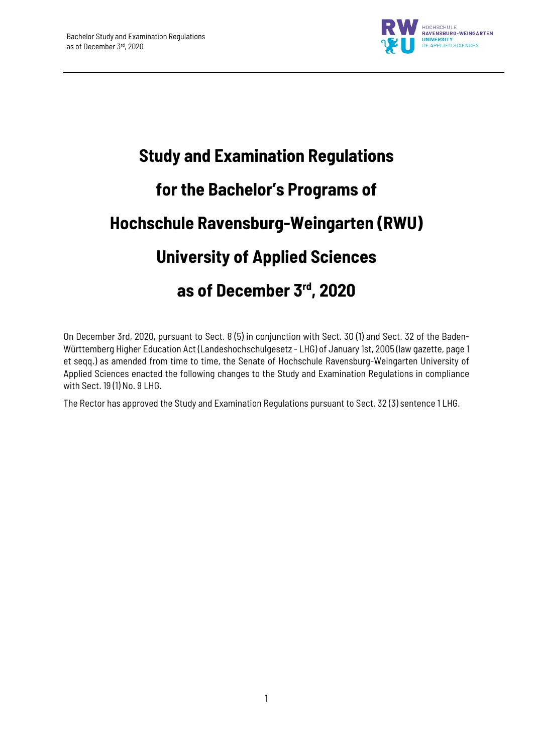

# **Study and Examination Regulations for the Bachelor's Programs of Hochschule Ravensburg-Weingarten (RWU) University of Applied Sciences as of December 3rd, 2020**

On December 3rd, 2020, pursuant to Sect. 8 (5) in conjunction with Sect. 30 (1) and Sect. 32 of the Baden-Württemberg Higher Education Act (Landeshochschulgesetz - LHG) of January 1st, 2005 (law gazette, page 1 et seqq.) as amended from time to time, the Senate of Hochschule Ravensburg-Weingarten University of Applied Sciences enacted the following changes to the Study and Examination Regulations in compliance with Sect. 19 (1) No. 9 LHG.

The Rector has approved the Study and Examination Regulations pursuant to Sect. 32 (3) sentence 1 LHG.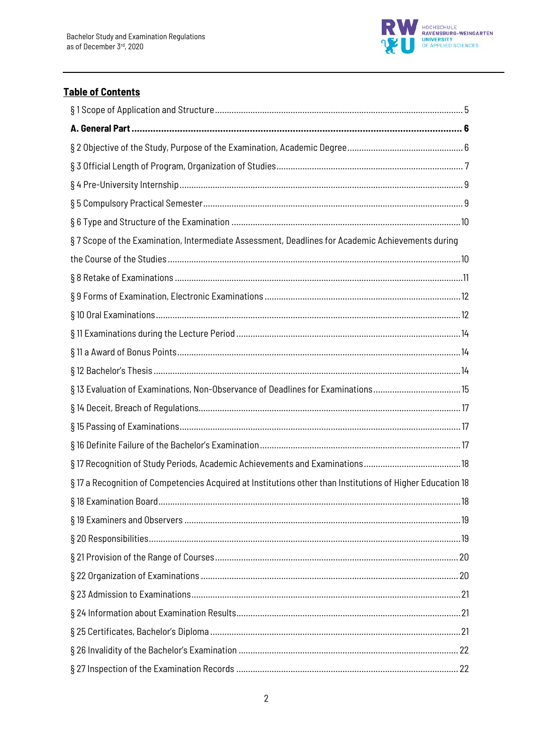

# **Table of Contents**

| §7 Scope of the Examination, Intermediate Assessment, Deadlines for Academic Achievements during           |
|------------------------------------------------------------------------------------------------------------|
|                                                                                                            |
|                                                                                                            |
|                                                                                                            |
|                                                                                                            |
|                                                                                                            |
|                                                                                                            |
|                                                                                                            |
| §13 Evaluation of Examinations, Non-Observance of Deadlines for Examinations15                             |
|                                                                                                            |
|                                                                                                            |
|                                                                                                            |
|                                                                                                            |
| § 17 a Recognition of Competencies Acquired at Institutions other than Institutions of Higher Education 18 |
| . 18                                                                                                       |
|                                                                                                            |
|                                                                                                            |
|                                                                                                            |
|                                                                                                            |
|                                                                                                            |
|                                                                                                            |
|                                                                                                            |
|                                                                                                            |
|                                                                                                            |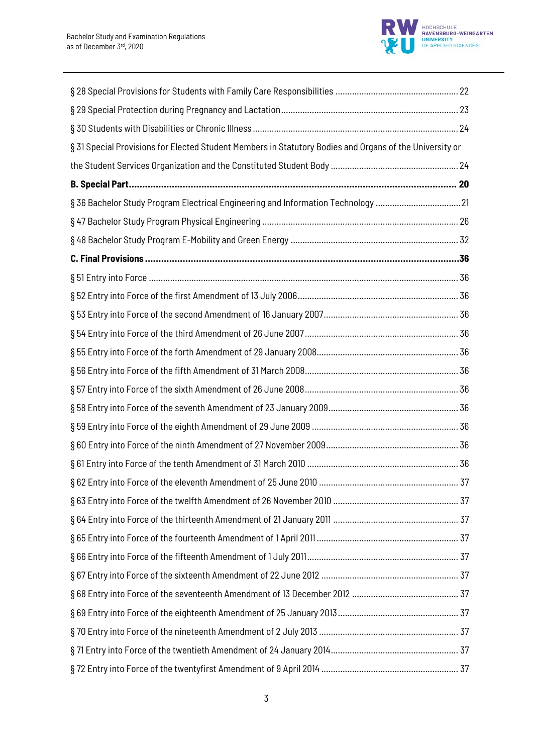

| § 31 Special Provisions for Elected Student Members in Statutory Bodies and Organs of the University or |  |
|---------------------------------------------------------------------------------------------------------|--|
|                                                                                                         |  |
|                                                                                                         |  |
| § 36 Bachelor Study Program Electrical Engineering and Information Technology 21                        |  |
|                                                                                                         |  |
|                                                                                                         |  |
|                                                                                                         |  |
|                                                                                                         |  |
|                                                                                                         |  |
|                                                                                                         |  |
|                                                                                                         |  |
|                                                                                                         |  |
|                                                                                                         |  |
|                                                                                                         |  |
|                                                                                                         |  |
|                                                                                                         |  |
|                                                                                                         |  |
|                                                                                                         |  |
|                                                                                                         |  |
|                                                                                                         |  |
|                                                                                                         |  |
|                                                                                                         |  |
|                                                                                                         |  |
|                                                                                                         |  |
|                                                                                                         |  |
|                                                                                                         |  |
|                                                                                                         |  |
|                                                                                                         |  |
|                                                                                                         |  |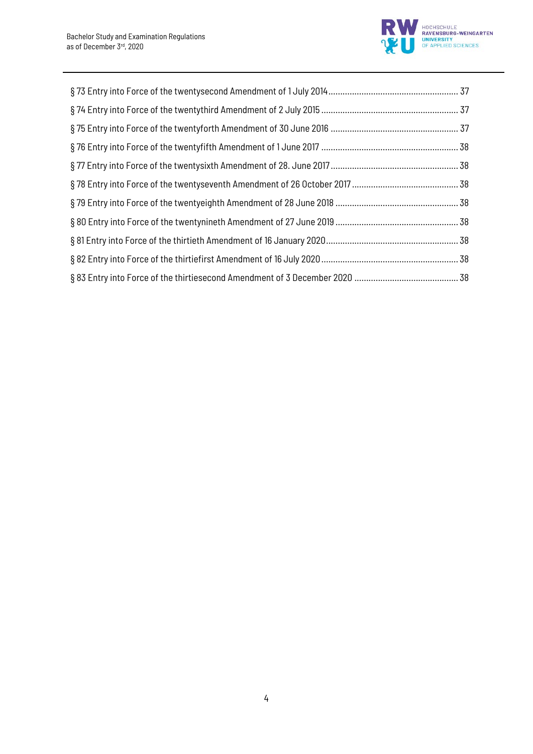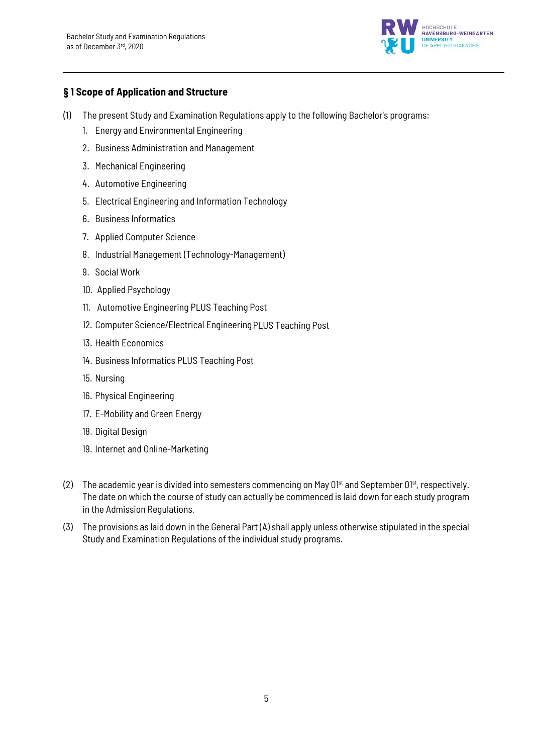

# **§ 1 Scope of Application and Structure**

- (1) The present Study and Examination Regulations apply to the following Bachelor's programs:
	- 1. Energy and Environmental Engineering
	- 2. Business Administration and Management
	- 3. Mechanical Engineering
	- 4. Automotive Engineering
	- 5. Electrical Engineering and Information Technology
	- 6. Business Informatics
	- 7. Applied Computer Science
	- 8. Industrial Management (Technology-Management)
	- 9. Social Work
	- 10. Applied Psychology
	- 11. Automotive Engineering PLUS Teaching Post
	- 12. Computer Science/Electrical EngineeringPLUS Teaching Post
	- 13. Health Economics
	- 14. Business Informatics PLUS Teaching Post
	- 15. Nursing
	- 16. Physical Engineering
	- 17. E-Mobility and Green Energy
	- 18. Digital Design
	- 19. Internet and Online-Marketing
- (2) The academic year is divided into semesters commencing on May  $0^{1st}$  and September  $0^{1st}$ , respectively. The date on which the course of study can actually be commenced is laid down for each study program in the Admission Regulations.
- (3) The provisions as laid down in the General Part (A) shall apply unless otherwise stipulated in the special Study and Examination Regulations of the individual study programs.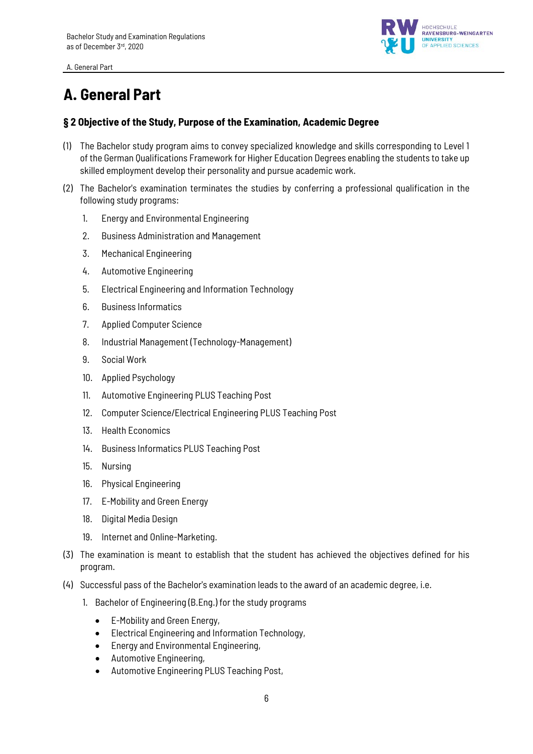

# **A. General Part**

### **§ 2 Objective of the Study, Purpose of the Examination, Academic Degree**

- (1) The Bachelor study program aims to convey specialized knowledge and skills corresponding to Level 1 of the German Qualifications Framework for Higher Education Degrees enabling the students to take up skilled employment develop their personality and pursue academic work.
- (2) The Bachelor's examination terminates the studies by conferring a professional qualification in the following study programs:
	- 1. Energy and Environmental Engineering
	- 2. Business Administration and Management
	- 3. Mechanical Engineering
	- 4. Automotive Engineering
	- 5. Electrical Engineering and Information Technology
	- 6. Business Informatics
	- 7. Applied Computer Science
	- 8. Industrial Management (Technology-Management)
	- 9. Social Work
	- 10. Applied Psychology
	- 11. Automotive Engineering PLUS Teaching Post
	- 12. Computer Science/Electrical Engineering PLUS Teaching Post
	- 13. Health Economics
	- 14. Business Informatics PLUS Teaching Post
	- 15. Nursing
	- 16. Physical Engineering
	- 17. E-Mobility and Green Energy
	- 18. Digital Media Design
	- 19. Internet and Online-Marketing.
- (3) The examination is meant to establish that the student has achieved the objectives defined for his program.
- (4) Successful pass of the Bachelor's examination leads to the award of an academic degree, i.e.
	- 1. Bachelor of Engineering (B.Eng.) for the study programs
		- E-Mobility and Green Energy,
		- Electrical Engineering and Information Technology,
		- Energy and Environmental Engineering,
		- Automotive Engineering,
		- Automotive Engineering PLUS Teaching Post,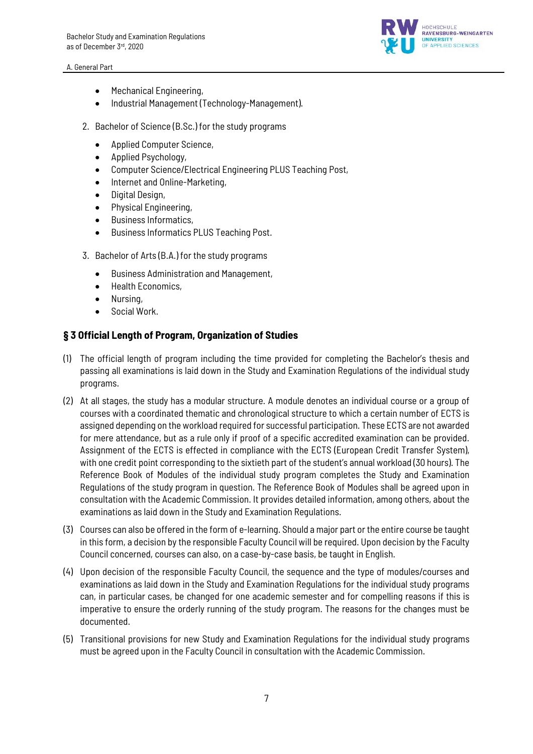

- Mechanical Engineering,
- Industrial Management (Technology-Management).
- 2. Bachelor of Science (B.Sc.) for the study programs
	- Applied Computer Science,
	- Applied Psychology,
	- Computer Science/Electrical Engineering PLUS Teaching Post,
	- Internet and Online-Marketing,
	- Digital Design,
	- Physical Engineering,
	- Business Informatics,
	- Business Informatics PLUS Teaching Post.
- 3. Bachelor of Arts (B.A.) for the study programs
	- Business Administration and Management,
	- Health Economics,
	- Nursing,
	- Social Work.

### **§ 3 Official Length of Program, Organization of Studies**

- (1) The official length of program including the time provided for completing the Bachelor's thesis and passing all examinations is laid down in the Study and Examination Regulations of the individual study programs.
- (2) At all stages, the study has a modular structure. A module denotes an individual course or a group of courses with a coordinated thematic and chronological structure to which a certain number of ECTS is assigned depending on the workload required for successful participation. These ECTS are not awarded for mere attendance, but as a rule only if proof of a specific accredited examination can be provided. Assignment of the ECTS is effected in compliance with the ECTS (European Credit Transfer System), with one credit point corresponding to the sixtieth part of the student's annual workload (30 hours). The Reference Book of Modules of the individual study program completes the Study and Examination Regulations of the study program in question. The Reference Book of Modules shall be agreed upon in consultation with the Academic Commission. It provides detailed information, among others, about the examinations as laid down in the Study and Examination Regulations.
- (3) Courses can also be offered in the form of e-learning. Should a major part or the entire course be taught in this form, a decision by the responsible Faculty Council will be required. Upon decision by the Faculty Council concerned, courses can also, on a case-by-case basis, be taught in English.
- (4) Upon decision of the responsible Faculty Council, the sequence and the type of modules/courses and examinations as laid down in the Study and Examination Regulations for the individual study programs can, in particular cases, be changed for one academic semester and for compelling reasons if this is imperative to ensure the orderly running of the study program. The reasons for the changes must be documented.
- (5) Transitional provisions for new Study and Examination Regulations for the individual study programs must be agreed upon in the Faculty Council in consultation with the Academic Commission.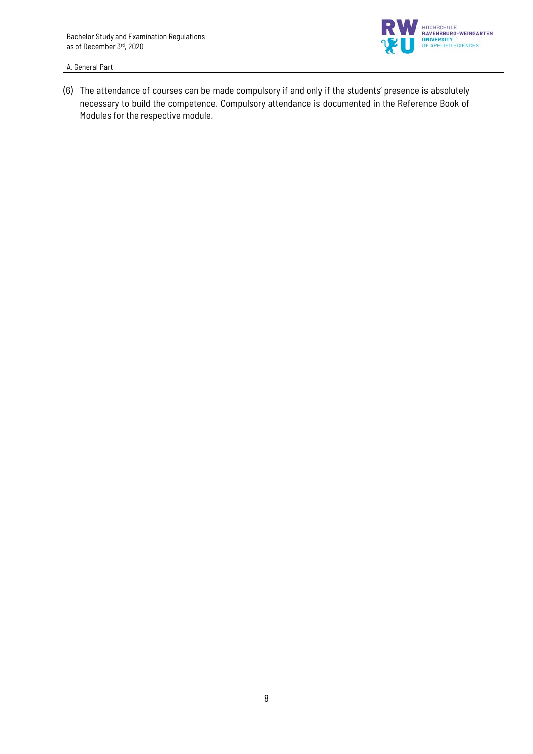

(6) The attendance of courses can be made compulsory if and only if the students' presence is absolutely necessary to build the competence. Compulsory attendance is documented in the Reference Book of Modules for the respective module.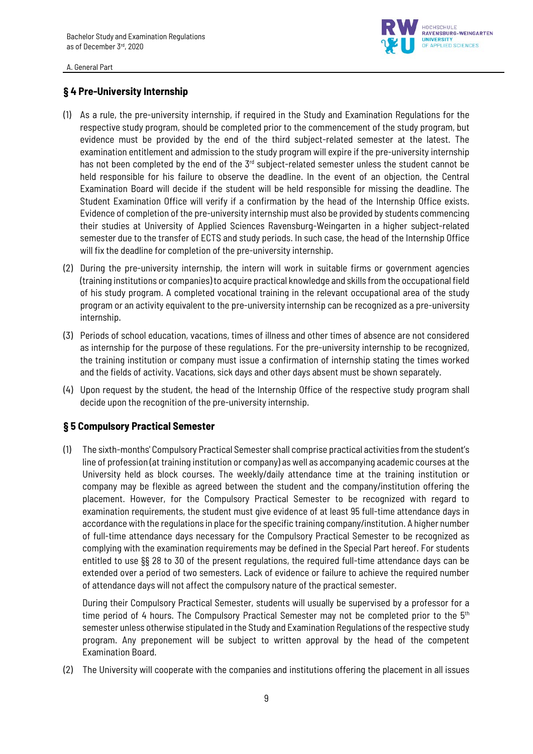

### **§ 4 Pre-University Internship**

- (1) As a rule, the pre-university internship, if required in the Study and Examination Regulations for the respective study program, should be completed prior to the commencement of the study program, but evidence must be provided by the end of the third subject-related semester at the latest. The examination entitlement and admission to the study program will expire if the pre-university internship has not been completed by the end of the  $3<sup>rd</sup>$  subject-related semester unless the student cannot be held responsible for his failure to observe the deadline. In the event of an objection, the Central Examination Board will decide if the student will be held responsible for missing the deadline. The Student Examination Office will verify if a confirmation by the head of the Internship Office exists. Evidence of completion of the pre-university internship must also be provided by students commencing their studies at University of Applied Sciences Ravensburg-Weingarten in a higher subject-related semester due to the transfer of ECTS and study periods. In such case, the head of the Internship Office will fix the deadline for completion of the pre-university internship.
- (2) During the pre-university internship, the intern will work in suitable firms or government agencies (training institutions or companies) to acquire practical knowledge and skills from the occupational field of his study program. A completed vocational training in the relevant occupational area of the study program or an activity equivalent to the pre-university internship can be recognized as a pre-university internship.
- (3) Periods of school education, vacations, times of illness and other times of absence are not considered as internship for the purpose of these regulations. For the pre-university internship to be recognized, the training institution or company must issue a confirmation of internship stating the times worked and the fields of activity. Vacations, sick days and other days absent must be shown separately.
- (4) Upon request by the student, the head of the Internship Office of the respective study program shall decide upon the recognition of the pre-university internship.

### **§ 5 Compulsory Practical Semester**

(1) The sixth-months' Compulsory Practical Semester shall comprise practical activities from the student's line of profession (at training institution or company) as well as accompanying academic courses at the University held as block courses. The weekly/daily attendance time at the training institution or company may be flexible as agreed between the student and the company/institution offering the placement. However, for the Compulsory Practical Semester to be recognized with regard to examination requirements, the student must give evidence of at least 95 full-time attendance days in accordance with the regulations in place for the specific training company/institution. A higher number of full-time attendance days necessary for the Compulsory Practical Semester to be recognized as complying with the examination requirements may be defined in the Special Part hereof. For students entitled to use §§ 28 to 30 of the present regulations, the required full-time attendance days can be extended over a period of two semesters. Lack of evidence or failure to achieve the required number of attendance days will not affect the compulsory nature of the practical semester.

During their Compulsory Practical Semester, students will usually be supervised by a professor for a time period of 4 hours. The Compulsory Practical Semester may not be completed prior to the  $5<sup>th</sup>$ semester unless otherwise stipulated in the Study and Examination Regulations of the respective study program. Any preponement will be subject to written approval by the head of the competent Examination Board.

(2) The University will cooperate with the companies and institutions offering the placement in all issues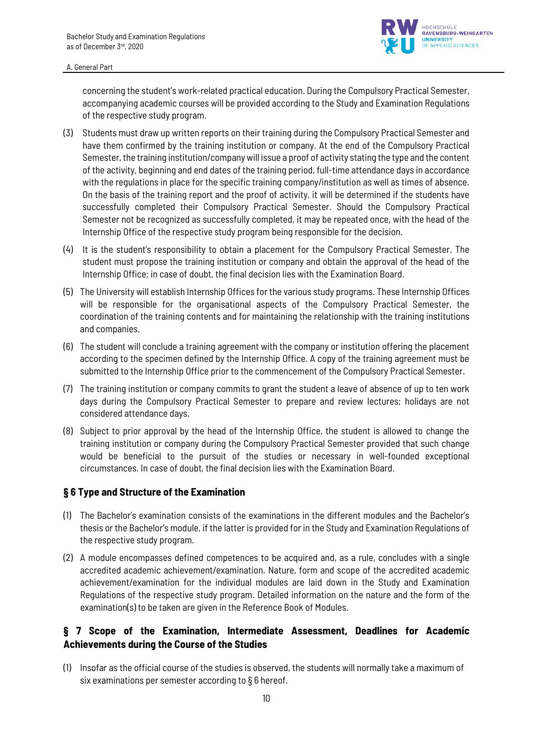

concerning the student's work-related practical education. During the Compulsory Practical Semester, accompanying academic courses will be provided according to the Study and Examination Regulations of the respective study program.

- (3) Students must draw up written reports on their training during the Compulsory Practical Semester and have them confirmed by the training institution or company. At the end of the Compulsory Practical Semester, the training institution/company will issue a proof of activity stating the type and the content of the activity, beginning and end dates of the training period, full-time attendance days in accordance with the regulations in place for the specific training company/institution as well as times of absence. On the basis of the training report and the proof of activity, it will be determined if the students have successfully completed their Compulsory Practical Semester. Should the Compulsory Practical Semester not be recognized as successfully completed, it may be repeated once, with the head of the Internship Office of the respective study program being responsible for the decision.
- (4) It is the student's responsibility to obtain a placement for the Compulsory Practical Semester. The student must propose the training institution or company and obtain the approval of the head of the Internship Office; in case of doubt, the final decision lies with the Examination Board.
- (5) The University will establish Internship Offices for the various study programs. These Internship Offices will be responsible for the organisational aspects of the Compulsory Practical Semester, the coordination of the training contents and for maintaining the relationship with the training institutions and companies.
- (6) The student will conclude a training agreement with the company or institution offering the placement according to the specimen defined by the Internship Office. A copy of the training agreement must be submitted to the Internship Office prior to the commencement of the Compulsory Practical Semester.
- (7) The training institution or company commits to grant the student a leave of absence of up to ten work days during the Compulsory Practical Semester to prepare and review lectures; holidays are not considered attendance days.
- (8) Subject to prior approval by the head of the Internship Office, the student is allowed to change the training institution or company during the Compulsory Practical Semester provided that such change would be beneficial to the pursuit of the studies or necessary in well-founded exceptional circumstances. In case of doubt, the final decision lies with the Examination Board.

### **§ 6 Type and Structure of the Examination**

- (1) The Bachelor's examination consists of the examinations in the different modules and the Bachelor's thesis or the Bachelor's module, if the latter is provided for in the Study and Examination Regulations of the respective study program.
- (2) A module encompasses defined competences to be acquired and, as a rule, concludes with a single accredited academic achievement/examination. Nature, form and scope of the accredited academic achievement/examination for the individual modules are laid down in the Study and Examination Regulations of the respective study program. Detailed information on the nature and the form of the examination(s) to be taken are given in the Reference Book of Modules.

# **§ 7 Scope of the Examination, Intermediate Assessment, Deadlines for Academic Achievements during the Course of the Studies**

(1) Insofar as the official course of the studies is observed, the students will normally take a maximum of six examinations per semester according to § 6 hereof.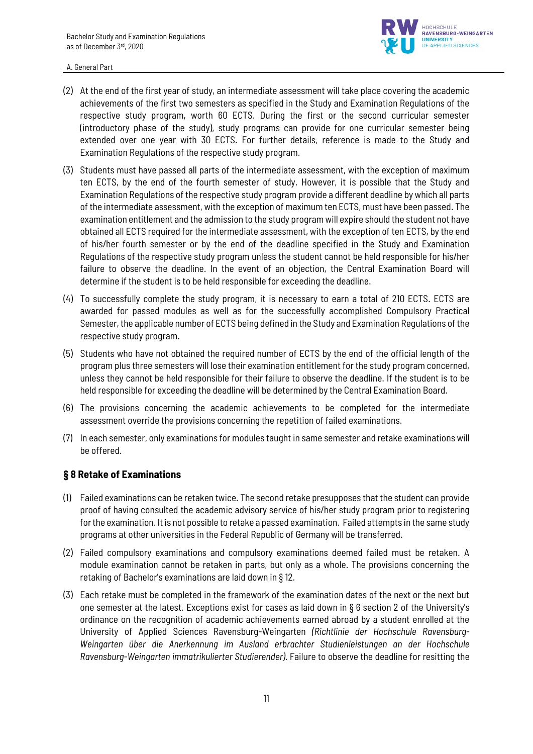

- (2) At the end of the first year of study, an intermediate assessment will take place covering the academic achievements of the first two semesters as specified in the Study and Examination Regulations of the respective study program, worth 60 ECTS. During the first or the second curricular semester (introductory phase of the study), study programs can provide for one curricular semester being extended over one year with 30 ECTS. For further details, reference is made to the Study and Examination Regulations of the respective study program.
- (3) Students must have passed all parts of the intermediate assessment, with the exception of maximum ten ECTS, by the end of the fourth semester of study. However, it is possible that the Study and Examination Regulations of the respective study program provide a different deadline by which all parts of the intermediate assessment, with the exception of maximum ten ECTS, must have been passed. The examination entitlement and the admission to the study program will expire should the student not have obtained all ECTS required for the intermediate assessment, with the exception of ten ECTS, by the end of his/her fourth semester or by the end of the deadline specified in the Study and Examination Regulations of the respective study program unless the student cannot be held responsible for his/her failure to observe the deadline. In the event of an objection, the Central Examination Board will determine if the student is to be held responsible for exceeding the deadline.
- (4) To successfully complete the study program, it is necessary to earn a total of 210 ECTS. ECTS are awarded for passed modules as well as for the successfully accomplished Compulsory Practical Semester, the applicable number of ECTS being defined in the Study and Examination Regulations of the respective study program.
- (5) Students who have not obtained the required number of ECTS by the end of the official length of the program plus three semesters will lose their examination entitlement for the study program concerned, unless they cannot be held responsible for their failure to observe the deadline. If the student is to be held responsible for exceeding the deadline will be determined by the Central Examination Board.
- (6) The provisions concerning the academic achievements to be completed for the intermediate assessment override the provisions concerning the repetition of failed examinations.
- (7) In each semester, only examinations for modules taught in same semester and retake examinations will be offered.

### **§ 8 Retake of Examinations**

- (1) Failed examinations can be retaken twice. The second retake presupposes that the student can provide proof of having consulted the academic advisory service of his/her study program prior to registering for the examination. It is not possible to retake a passed examination. Failed attempts in the same study programs at other universities in the Federal Republic of Germany will be transferred.
- (2) Failed compulsory examinations and compulsory examinations deemed failed must be retaken. A module examination cannot be retaken in parts, but only as a whole. The provisions concerning the retaking of Bachelor's examinations are laid down in § 12.
- (3) Each retake must be completed in the framework of the examination dates of the next or the next but one semester at the latest. Exceptions exist for cases as laid down in § 6 section 2 of the University's ordinance on the recognition of academic achievements earned abroad by a student enrolled at the University of Applied Sciences Ravensburg-Weingarten *(Richtlinie der Hochschule Ravensburg-Weingarten über die Anerkennung im Ausland erbrachter Studienleistungen an der Hochschule Ravensburg-Weingarten immatrikulierter Studierender)*. Failure to observe the deadline for resitting the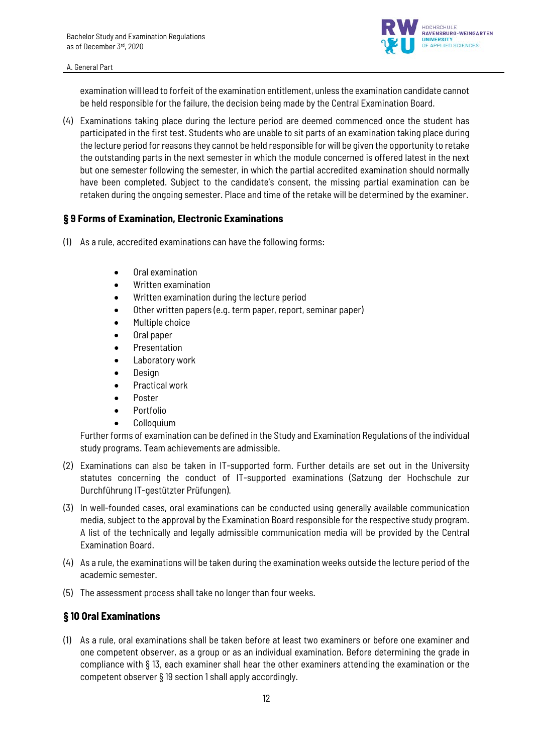

examination will lead to forfeit of the examination entitlement, unless the examination candidate cannot be held responsible for the failure, the decision being made by the Central Examination Board.

(4) Examinations taking place during the lecture period are deemed commenced once the student has participated in the first test. Students who are unable to sit parts of an examination taking place during the lecture period for reasons they cannot be held responsible for will be given the opportunity to retake the outstanding parts in the next semester in which the module concerned is offered latest in the next but one semester following the semester, in which the partial accredited examination should normally have been completed. Subject to the candidate's consent, the missing partial examination can be retaken during the ongoing semester. Place and time of the retake will be determined by the examiner.

### **§ 9 Forms of Examination, Electronic Examinations**

- (1) As a rule, accredited examinations can have the following forms:
	- Oral examination
	- Written examination
	- Written examination during the lecture period
	- Other written papers (e.g. term paper, report, seminar paper)
	- Multiple choice
	- Oral paper
	- Presentation
	- Laboratory work
	- Design
	- Practical work
	- Poster
	- Portfolio
	- Colloquium

Further forms of examination can be defined in the Study and Examination Regulations of the individual study programs. Team achievements are admissible.

- (2) Examinations can also be taken in IT-supported form. Further details are set out in the University statutes concerning the conduct of IT-supported examinations (Satzung der Hochschule zur Durchführung IT-gestützter Prüfungen).
- (3) In well-founded cases, oral examinations can be conducted using generally available communication media, subject to the approval by the Examination Board responsible for the respective study program. A list of the technically and legally admissible communication media will be provided by the Central Examination Board.
- (4) As a rule, the examinations will be taken during the examination weeks outside the lecture period of the academic semester.
- (5) The assessment process shall take no longer than four weeks.

# **§ 10 Oral Examinations**

(1) As a rule, oral examinations shall be taken before at least two examiners or before one examiner and one competent observer, as a group or as an individual examination. Before determining the grade in compliance with § 13, each examiner shall hear the other examiners attending the examination or the competent observer § 19 section 1 shall apply accordingly.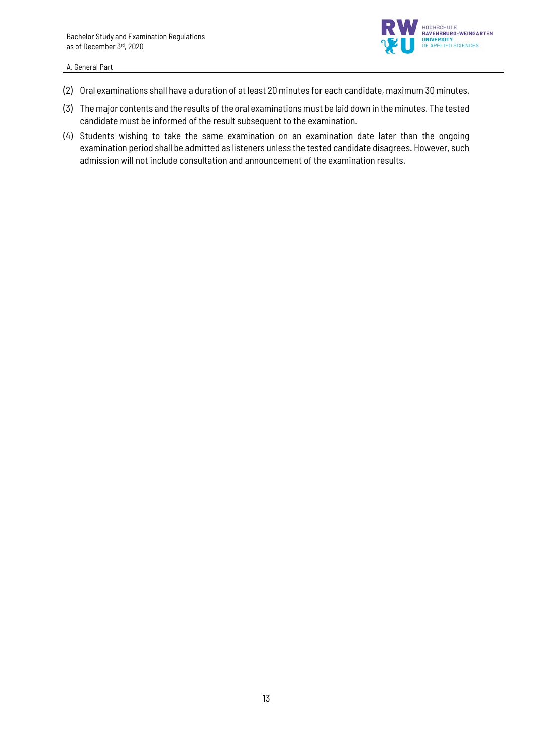

- (2) Oral examinations shall have a duration of at least 20 minutes for each candidate, maximum 30 minutes.
- (3) The major contents and the results of the oral examinations must be laid down in the minutes. The tested candidate must be informed of the result subsequent to the examination.
- (4) Students wishing to take the same examination on an examination date later than the ongoing examination period shall be admitted as listeners unless the tested candidate disagrees. However, such admission will not include consultation and announcement of the examination results.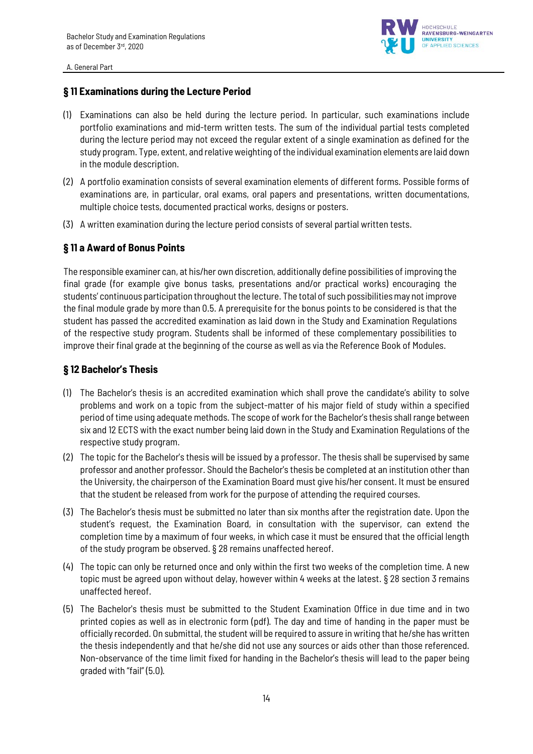

### **§ 11 Examinations during the Lecture Period**

- (1) Examinations can also be held during the lecture period. In particular, such examinations include portfolio examinations and mid-term written tests. The sum of the individual partial tests completed during the lecture period may not exceed the regular extent of a single examination as defined for the study program. Type, extent, and relative weighting of the individual examination elements are laid down in the module description.
- (2) A portfolio examination consists of several examination elements of different forms. Possible forms of examinations are, in particular, oral exams, oral papers and presentations, written documentations, multiple choice tests, documented practical works, designs or posters.
- (3) A written examination during the lecture period consists of several partial written tests.

# **§ 11 a Award of Bonus Points**

The responsible examiner can, at his/her own discretion, additionally define possibilities of improving the final grade (for example give bonus tasks, presentations and/or practical works) encouraging the students' continuous participation throughout the lecture. The total of such possibilities may not improve the final module grade by more than 0.5. A prerequisite for the bonus points to be considered is that the student has passed the accredited examination as laid down in the Study and Examination Regulations of the respective study program. Students shall be informed of these complementary possibilities to improve their final grade at the beginning of the course as well as via the Reference Book of Modules.

### **§ 12 Bachelor's Thesis**

- (1) The Bachelor's thesis is an accredited examination which shall prove the candidate's ability to solve problems and work on a topic from the subject-matter of his major field of study within a specified period of time using adequate methods. The scope of work for the Bachelor's thesis shall range between six and 12 ECTS with the exact number being laid down in the Study and Examination Regulations of the respective study program.
- (2) The topic for the Bachelor's thesis will be issued by a professor. The thesis shall be supervised by same professor and another professor. Should the Bachelor's thesis be completed at an institution other than the University, the chairperson of the Examination Board must give his/her consent. It must be ensured that the student be released from work for the purpose of attending the required courses.
- (3) The Bachelor's thesis must be submitted no later than six months after the registration date. Upon the student's request, the Examination Board, in consultation with the supervisor, can extend the completion time by a maximum of four weeks, in which case it must be ensured that the official length of the study program be observed. § 28 remains unaffected hereof.
- (4) The topic can only be returned once and only within the first two weeks of the completion time. A new topic must be agreed upon without delay, however within 4 weeks at the latest. § 28 section 3 remains unaffected hereof.
- (5) The Bachelor's thesis must be submitted to the Student Examination Office in due time and in two printed copies as well as in electronic form (pdf). The day and time of handing in the paper must be officially recorded. On submittal, the student will be required to assure in writing that he/she has written the thesis independently and that he/she did not use any sources or aids other than those referenced. Non-observance of the time limit fixed for handing in the Bachelor's thesis will lead to the paper being graded with "fail" (5.0).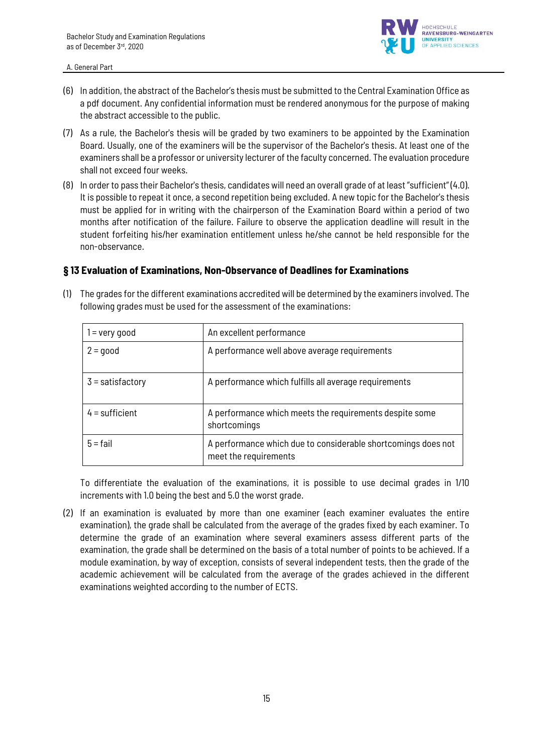

- (6) In addition, the abstract of the Bachelor's thesis must be submitted to the Central Examination Office as a pdf document. Any confidential information must be rendered anonymous for the purpose of making the abstract accessible to the public.
- (7) As a rule, the Bachelor's thesis will be graded by two examiners to be appointed by the Examination Board. Usually, one of the examiners will be the supervisor of the Bachelor's thesis. At least one of the examiners shall be a professor or university lecturer of the faculty concerned. The evaluation procedure shall not exceed four weeks.
- (8) In order to pass their Bachelor's thesis, candidates will need an overall grade of at least "sufficient" (4.0). It is possible to repeat it once, a second repetition being excluded. A new topic for the Bachelor's thesis must be applied for in writing with the chairperson of the Examination Board within a period of two months after notification of the failure. Failure to observe the application deadline will result in the student forfeiting his/her examination entitlement unless he/she cannot be held responsible for the non-observance.

### **§ 13 Evaluation of Examinations, Non-Observance of Deadlines for Examinations**

(1) The grades for the different examinations accredited will be determined by the examiners involved. The following grades must be used for the assessment of the examinations:

| $1 =$ very good    | An excellent performance                                                               |
|--------------------|----------------------------------------------------------------------------------------|
| $2 = \text{good}$  | A performance well above average requirements                                          |
| $3 =$ satisfactory | A performance which fulfills all average requirements                                  |
| $4 =$ sufficient   | A performance which meets the requirements despite some<br>shortcomings                |
| $5 = \text{fail}$  | A performance which due to considerable shortcomings does not<br>meet the requirements |

To differentiate the evaluation of the examinations, it is possible to use decimal grades in 1/10 increments with 1.0 being the best and 5.0 the worst grade.

(2) If an examination is evaluated by more than one examiner (each examiner evaluates the entire examination), the grade shall be calculated from the average of the grades fixed by each examiner. To determine the grade of an examination where several examiners assess different parts of the examination, the grade shall be determined on the basis of a total number of points to be achieved. If a module examination, by way of exception, consists of several independent tests, then the grade of the academic achievement will be calculated from the average of the grades achieved in the different examinations weighted according to the number of ECTS.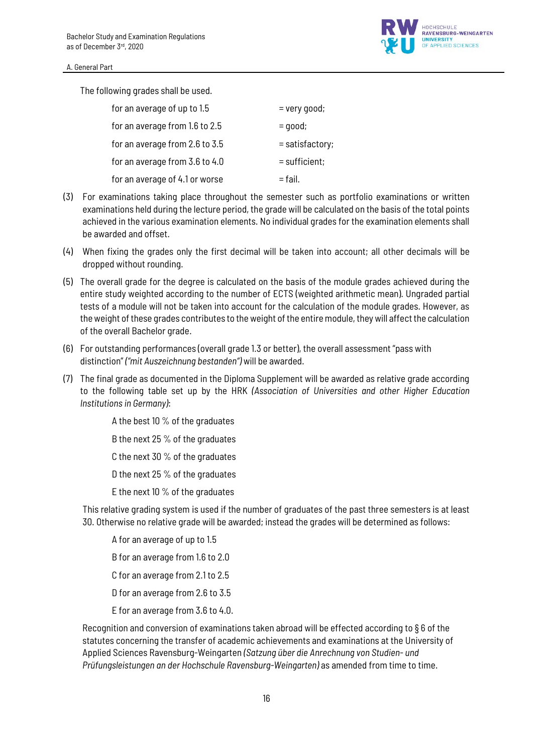

The following grades shall be used.

| for an average of up to 1.5    | $=$ very good;  |
|--------------------------------|-----------------|
| for an average from 1.6 to 2.5 | $=$ good;       |
| for an average from 2.6 to 3.5 | = satisfactory; |
| for an average from 3.6 to 4.0 | $=$ sufficient; |
| for an average of 4.1 or worse | $=$ fail.       |

- (3) For examinations taking place throughout the semester such as portfolio examinations or written examinations held during the lecture period, the grade will be calculated on the basis of the total points achieved in the various examination elements. No individual grades for the examination elements shall be awarded and offset.
- (4) When fixing the grades only the first decimal will be taken into account; all other decimals will be dropped without rounding.
- (5) The overall grade for the degree is calculated on the basis of the module grades achieved during the entire study weighted according to the number of ECTS (weighted arithmetic mean). Ungraded partial tests of a module will not be taken into account for the calculation of the module grades. However, as the weight of these grades contributes to the weight of the entire module, they will affect the calculation of the overall Bachelor grade.
- (6) For outstanding performances (overall grade 1.3 or better), the overall assessment "pass with distinction" *("mit Auszeichnung bestanden")* will be awarded.
- (7) The final grade as documented in the Diploma Supplement will be awarded as relative grade according to the following table set up by the HRK *(Association of Universities and other Higher Education Institutions in Germany)*:

A the best 10 % of the graduates B the next 25 % of the graduates C the next 30 % of the graduates D the next 25 % of the graduates E the next 10 % of the graduates

This relative grading system is used if the number of graduates of the past three semesters is at least 30. Otherwise no relative grade will be awarded; instead the grades will be determined as follows:

A for an average of up to 1.5 B for an average from 1.6 to 2.0 C for an average from 2.1 to 2.5 D for an average from 2.6 to 3.5 E for an average from 3.6 to 4.0.

Recognition and conversion of examinations taken abroad will be effected according to § 6 of the statutes concerning the transfer of academic achievements and examinations at the University of Applied Sciences Ravensburg-Weingarten *(Satzung über die Anrechnung von Studien- und Prüfungsleistungen an der Hochschule Ravensburg-Weingarten)* as amended from time to time.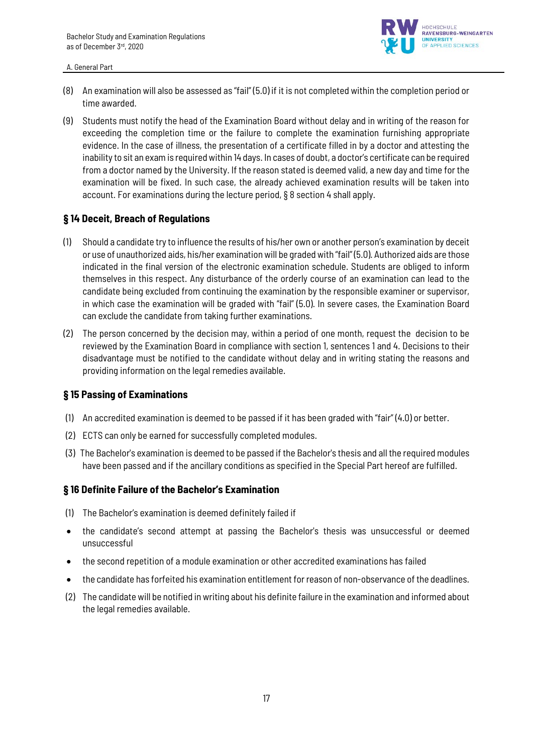

- (8) An examination will also be assessed as "fail" (5.0) if it is not completed within the completion period or time awarded.
- (9) Students must notify the head of the Examination Board without delay and in writing of the reason for exceeding the completion time or the failure to complete the examination furnishing appropriate evidence. In the case of illness, the presentation of a certificate filled in by a doctor and attesting the inability to sit an exam is required within 14 days. In cases of doubt, a doctor's certificate can be required from a doctor named by the University. If the reason stated is deemed valid, a new day and time for the examination will be fixed. In such case, the already achieved examination results will be taken into account. For examinations during the lecture period, § 8 section 4 shall apply.

### **§ 14 Deceit, Breach of Regulations**

- (1) Should a candidate try to influence the results of his/her own or another person's examination by deceit or use of unauthorized aids, his/her examinationwill be graded with "fail" (5.0). Authorized aids are those indicated in the final version of the electronic examination schedule. Students are obliged to inform themselves in this respect. Any disturbance of the orderly course of an examination can lead to the candidate being excluded from continuing the examination by the responsible examiner or supervisor, in which case the examination will be graded with "fail" (5.0). In severe cases, the Examination Board can exclude the candidate from taking further examinations.
- (2) The person concerned by the decision may, within a period of one month, request the decision to be reviewed by the Examination Board in compliance with section 1, sentences 1 and 4. Decisions to their disadvantage must be notified to the candidate without delay and in writing stating the reasons and providing information on the legal remedies available.

### **§ 15 Passing of Examinations**

- (1) An accredited examination is deemed to be passed if it has been graded with "fair" (4.0) or better.
- (2) ECTS can only be earned for successfully completed modules.
- (3) The Bachelor's examination is deemed to be passed if the Bachelor's thesis and all the required modules have been passed and if the ancillary conditions as specified in the Special Part hereof are fulfilled.

### **§ 16 Definite Failure of the Bachelor's Examination**

- (1) The Bachelor's examination is deemed definitely failed if
- the candidate's second attempt at passing the Bachelor's thesis was unsuccessful or deemed unsuccessful
- the second repetition of a module examination or other accredited examinations has failed
- the candidate has forfeited his examination entitlement for reason of non-observance of the deadlines.
- (2) The candidate will be notified in writing about his definite failure in the examination and informed about the legal remedies available.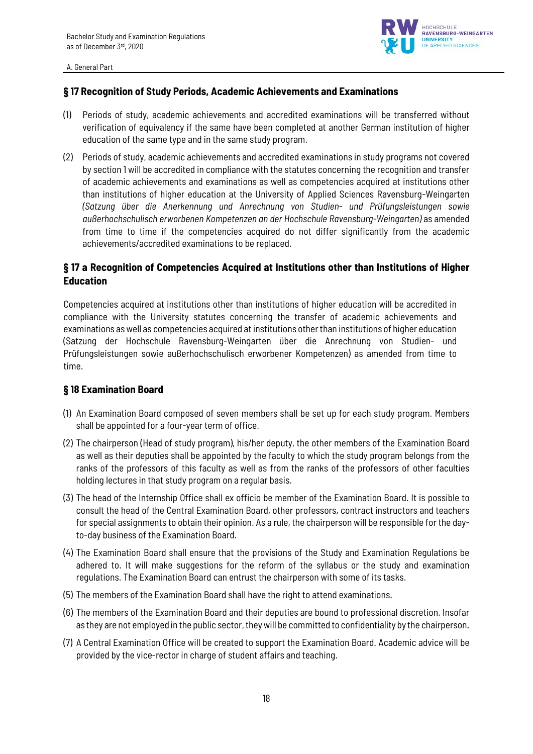

# **§ 17 Recognition of Study Periods, Academic Achievements and Examinations**

- (1) Periods of study, academic achievements and accredited examinations will be transferred without verification of equivalency if the same have been completed at another German institution of higher education of the same type and in the same study program.
- (2) Periods of study, academic achievements and accredited examinations in study programs not covered by section 1 will be accredited in compliance with the statutes concerning the recognition and transfer of academic achievements and examinations as well as competencies acquired at institutions other than institutions of higher education at the University of Applied Sciences Ravensburg-Weingarten *(Satzung über die Anerkennung und Anrechnung von Studien- und Prüfungsleistungen sowie außerhochschulisch erworbenen Kompetenzen an der Hochschule Ravensburg-Weingarten)* as amended from time to time if the competencies acquired do not differ significantly from the academic achievements/accredited examinations to be replaced.

# **§ 17 a Recognition of Competencies Acquired at Institutions other than Institutions of Higher Education**

Competencies acquired at institutions other than institutions of higher education will be accredited in compliance with the University statutes concerning the transfer of academic achievements and examinations as well as competencies acquired at institutions other than institutions of higher education (Satzung der Hochschule Ravensburg-Weingarten über die Anrechnung von Studien- und Prüfungsleistungen sowie außerhochschulisch erworbener Kompetenzen) as amended from time to time.

### **§ 18 Examination Board**

- (1) An Examination Board composed of seven members shall be set up for each study program. Members shall be appointed for a four-year term of office.
- (2) The chairperson (Head of study program), his/her deputy, the other members of the Examination Board as well as their deputies shall be appointed by the faculty to which the study program belongs from the ranks of the professors of this faculty as well as from the ranks of the professors of other faculties holding lectures in that study program on a regular basis.
- (3) The head of the Internship Office shall ex officio be member of the Examination Board. It is possible to consult the head of the Central Examination Board, other professors, contract instructors and teachers for special assignments to obtain their opinion. As a rule, the chairperson will be responsible for the dayto-day business of the Examination Board.
- (4) The Examination Board shall ensure that the provisions of the Study and Examination Regulations be adhered to. It will make suggestions for the reform of the syllabus or the study and examination regulations. The Examination Board can entrust the chairperson with some of its tasks.
- (5) The members of the Examination Board shall have the right to attend examinations.
- (6) The members of the Examination Board and their deputies are bound to professional discretion. Insofar as they are not employed in the public sector, they will be committed to confidentiality by the chairperson.
- (7) A Central Examination Office will be created to support the Examination Board. Academic advice will be provided by the vice-rector in charge of student affairs and teaching.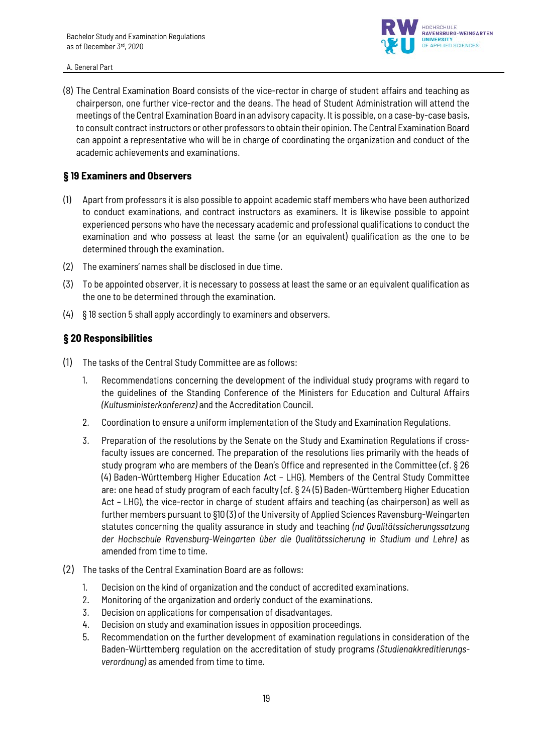

(8) The Central Examination Board consists of the vice-rector in charge of student affairs and teaching as chairperson, one further vice-rector and the deans. The head of Student Administration will attend the meetings of the Central Examination Board in an advisory capacity. It is possible, on a case-by-case basis, to consult contract instructors or other professors to obtain their opinion. The Central Examination Board can appoint a representative who will be in charge of coordinating the organization and conduct of the academic achievements and examinations.

### **§ 19 Examiners and Observers**

- (1) Apart from professors it is also possible to appoint academic staff members who have been authorized to conduct examinations, and contract instructors as examiners. It is likewise possible to appoint experienced persons who have the necessary academic and professional qualifications to conduct the examination and who possess at least the same (or an equivalent) qualification as the one to be determined through the examination.
- (2) The examiners' names shall be disclosed in due time.
- (3) To be appointed observer, it is necessary to possess at least the same or an equivalent qualification as the one to be determined through the examination.
- (4) § 18 section 5 shall apply accordingly to examiners and observers.

### **§ 20 Responsibilities**

- (1) The tasks of the Central Study Committee are as follows:
	- 1. Recommendations concerning the development of the individual study programs with regard to the guidelines of the Standing Conference of the Ministers for Education and Cultural Affairs *(Kultusministerkonferenz)* and the Accreditation Council.
	- 2. Coordination to ensure a uniform implementation of the Study and Examination Regulations.
	- 3. Preparation of the resolutions by the Senate on the Study and Examination Regulations if crossfaculty issues are concerned. The preparation of the resolutions lies primarily with the heads of study program who are members of the Dean's Office and represented in the Committee (cf. § 26 (4) Baden-Württemberg Higher Education Act – LHG). Members of the Central Study Committee are: one head of study program of each faculty (cf. § 24 (5) Baden-Württemberg Higher Education Act – LHG), the vice-rector in charge of student affairs and teaching (as chairperson) as well as further members pursuant to §10 (3) of the University of Applied Sciences Ravensburg-Weingarten statutes concerning the quality assurance in study and teaching *(nd Qualitätssicherungssatzung der Hochschule Ravensburg-Weingarten über die Qualitätssicherung in Studium und Lehre)* as amended from time to time.
- (2) The tasks of the Central Examination Board are as follows:
	- 1. Decision on the kind of organization and the conduct of accredited examinations.
	- 2. Monitoring of the organization and orderly conduct of the examinations.
	- 3. Decision on applications for compensation of disadvantages.
	- 4. Decision on study and examination issues in opposition proceedings.
	- 5. Recommendation on the further development of examination regulations in consideration of the Baden-Württemberg regulation on the accreditation of study programs *(Studienakkreditierungsverordnung)* as amended from time to time.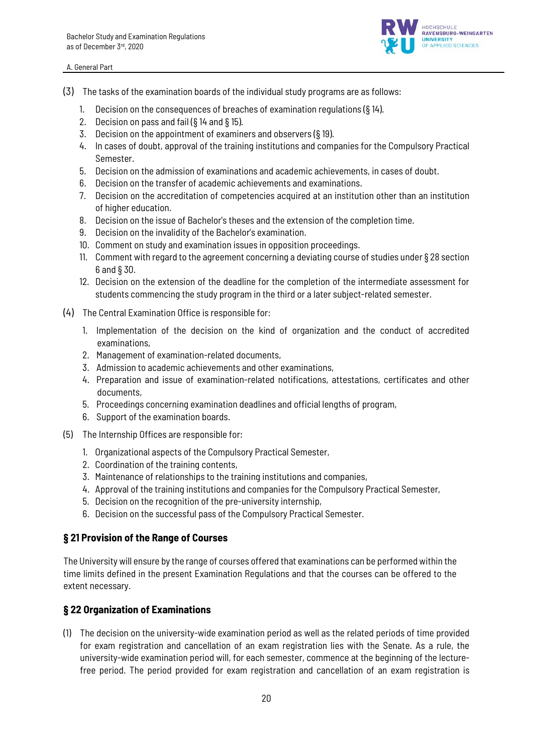

- (3) The tasks of the examination boards of the individual study programs are as follows:
	- 1. Decision on the consequences of breaches of examination regulations (§ 14).
	- 2. Decision on pass and fail (§ 14 and § 15).
	- 3. Decision on the appointment of examiners and observers (§ 19).
	- 4. In cases of doubt, approval of the training institutions and companies for the Compulsory Practical Semester.
	- 5. Decision on the admission of examinations and academic achievements, in cases of doubt.
	- 6. Decision on the transfer of academic achievements and examinations.
	- 7. Decision on the accreditation of competencies acquired at an institution other than an institution of higher education.
	- 8. Decision on the issue of Bachelor's theses and the extension of the completion time.
	- 9. Decision on the invalidity of the Bachelor's examination.
	- 10. Comment on study and examination issues in opposition proceedings.
	- 11. Comment with regard to the agreement concerning a deviating course of studies under § 28 section 6 and § 30.
	- 12. Decision on the extension of the deadline for the completion of the intermediate assessment for students commencing the study program in the third or a later subject-related semester.
- (4) The Central Examination Office is responsible for:
	- 1. Implementation of the decision on the kind of organization and the conduct of accredited examinations,
	- 2. Management of examination-related documents,
	- 3. Admission to academic achievements and other examinations,
	- 4. Preparation and issue of examination-related notifications, attestations, certificates and other documents,
	- 5. Proceedings concerning examination deadlines and official lengths of program,
	- 6. Support of the examination boards.
- (5) The Internship Offices are responsible for:
	- 1. Organizational aspects of the Compulsory Practical Semester,
	- 2. Coordination of the training contents,
	- 3. Maintenance of relationships to the training institutions and companies,
	- 4. Approval of the training institutions and companies for the Compulsory Practical Semester,
	- 5. Decision on the recognition of the pre-university internship,
	- 6. Decision on the successful pass of the Compulsory Practical Semester.

### **§ 21 Provision of the Range of Courses**

The University will ensure by the range of courses offered that examinations can be performed within the time limits defined in the present Examination Regulations and that the courses can be offered to the extent necessary.

# **§ 22 Organization of Examinations**

(1) The decision on the university-wide examination period as well as the related periods of time provided for exam registration and cancellation of an exam registration lies with the Senate. As a rule, the university-wide examination period will, for each semester, commence at the beginning of the lecturefree period. The period provided for exam registration and cancellation of an exam registration is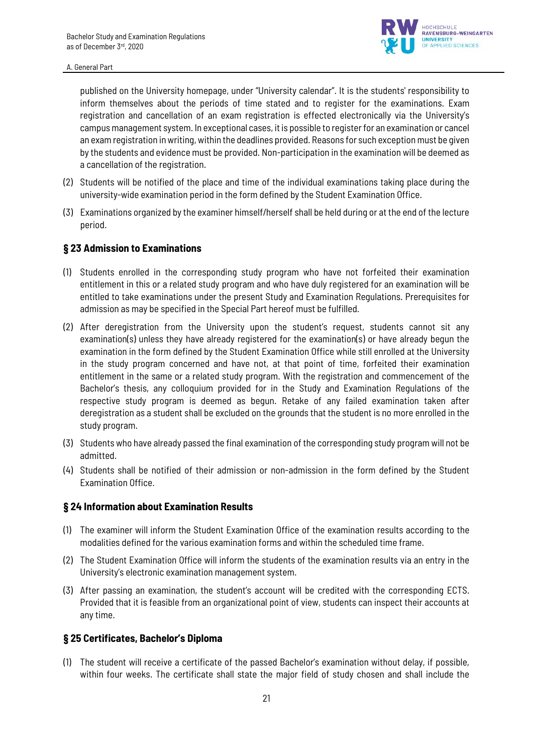

published on the University homepage, under "University calendar". It is the students' responsibility to inform themselves about the periods of time stated and to register for the examinations. Exam registration and cancellation of an exam registration is effected electronically via the University's campus management system. In exceptional cases, it is possible to register for an examination or cancel an exam registration in writing, within the deadlines provided. Reasons for such exception must be given by the students and evidence must be provided. Non-participation in the examination will be deemed as a cancellation of the registration.

- (2) Students will be notified of the place and time of the individual examinations taking place during the university-wide examination period in the form defined by the Student Examination Office.
- (3) Examinations organized by the examiner himself/herself shall be held during or at the end of the lecture period.

### **§ 23 Admission to Examinations**

- (1) Students enrolled in the corresponding study program who have not forfeited their examination entitlement in this or a related study program and who have duly registered for an examination will be entitled to take examinations under the present Study and Examination Regulations. Prerequisites for admission as may be specified in the Special Part hereof must be fulfilled.
- (2) After deregistration from the University upon the student's request, students cannot sit any examination(s) unless they have already registered for the examination(s) or have already begun the examination in the form defined by the Student Examination Office while still enrolled at the University in the study program concerned and have not, at that point of time, forfeited their examination entitlement in the same or a related study program. With the registration and commencement of the Bachelor's thesis, any colloquium provided for in the Study and Examination Regulations of the respective study program is deemed as begun. Retake of any failed examination taken after deregistration as a student shall be excluded on the grounds that the student is no more enrolled in the study program.
- (3) Students who have already passed the final examination of the corresponding study program will not be admitted.
- (4) Students shall be notified of their admission or non-admission in the form defined by the Student Examination Office.

### **§ 24 Information about Examination Results**

- (1) The examiner will inform the Student Examination Office of the examination results according to the modalities defined for the various examination forms and within the scheduled time frame.
- (2) The Student Examination Office will inform the students of the examination results via an entry in the University's electronic examination management system.
- (3) After passing an examination, the student's account will be credited with the corresponding ECTS. Provided that it is feasible from an organizational point of view, students can inspect their accounts at any time.

### **§ 25 Certificates, Bachelor's Diploma**

(1) The student will receive a certificate of the passed Bachelor's examination without delay, if possible, within four weeks. The certificate shall state the major field of study chosen and shall include the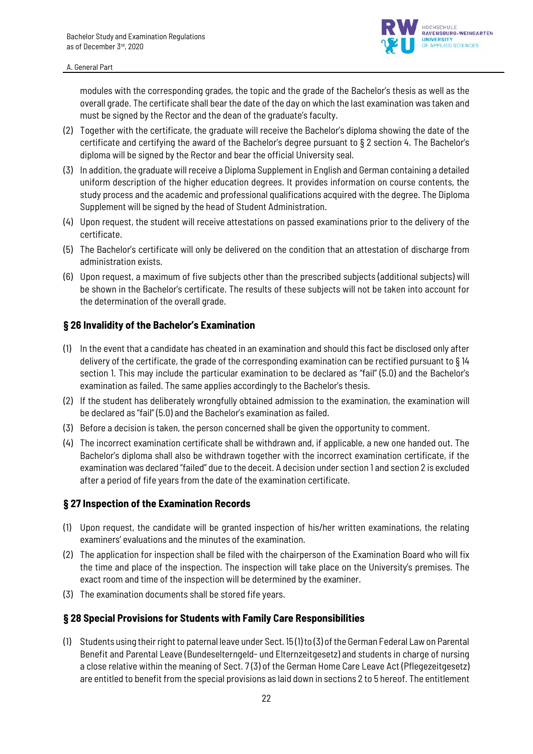

modules with the corresponding grades, the topic and the grade of the Bachelor's thesis as well as the overall grade. The certificate shall bear the date of the day on which the last examination was taken and must be signed by the Rector and the dean of the graduate's faculty.

- (2) Together with the certificate, the graduate will receive the Bachelor's diploma showing the date of the certificate and certifying the award of the Bachelor's degree pursuant to § 2 section 4. The Bachelor's diploma will be signed by the Rector and bear the official University seal.
- (3) In addition, the graduate will receive a Diploma Supplement in English and German containing a detailed uniform description of the higher education degrees. It provides information on course contents, the study process and the academic and professional qualifications acquired with the degree. The Diploma Supplement will be signed by the head of Student Administration.
- (4) Upon request, the student will receive attestations on passed examinations prior to the delivery of the certificate.
- (5) The Bachelor's certificate will only be delivered on the condition that an attestation of discharge from administration exists.
- (6) Upon request, a maximum of five subjects other than the prescribed subjects (additional subjects) will be shown in the Bachelor's certificate. The results of these subjects will not be taken into account for the determination of the overall grade.

### **§ 26 Invalidity of the Bachelor's Examination**

- (1) In the event that a candidate has cheated in an examination and should this fact be disclosed only after delivery of the certificate, the grade of the corresponding examination can be rectified pursuant to § 14 section 1. This may include the particular examination to be declared as "fail" (5.0) and the Bachelor's examination as failed. The same applies accordingly to the Bachelor's thesis.
- (2) If the student has deliberately wrongfully obtained admission to the examination, the examination will be declared as "fail" (5.0) and the Bachelor's examination as failed.
- (3) Before a decision is taken, the person concerned shall be given the opportunity to comment.
- (4) The incorrect examination certificate shall be withdrawn and, if applicable, a new one handed out. The Bachelor's diploma shall also be withdrawn together with the incorrect examination certificate, if the examination was declared "failed" due to the deceit. A decision under section 1 and section 2 is excluded after a period of fife years from the date of the examination certificate.

### **§ 27 Inspection of the Examination Records**

- (1) Upon request, the candidate will be granted inspection of his/her written examinations, the relating examiners' evaluations and the minutes of the examination.
- (2) The application for inspection shall be filed with the chairperson of the Examination Board who will fix the time and place of the inspection. The inspection will take place on the University's premises. The exact room and time of the inspection will be determined by the examiner.
- (3) The examination documents shall be stored fife years.

### **§ 28 Special Provisions for Students with Family Care Responsibilities**

(1) Students using their right to paternal leave under Sect. 15 (1) to (3) of the German Federal Law on Parental Benefit and Parental Leave (Bundeselterngeld- und Elternzeitgesetz) and students in charge of nursing a close relative within the meaning of Sect. 7 (3) of the German Home Care Leave Act (Pflegezeitgesetz) are entitled to benefit from the special provisions as laid down in sections 2 to 5 hereof. The entitlement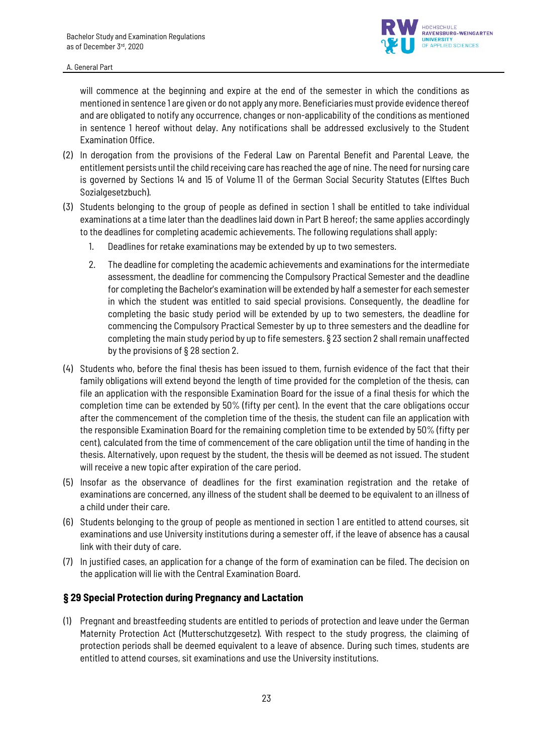

will commence at the beginning and expire at the end of the semester in which the conditions as mentioned in sentence 1 are given or do not apply any more. Beneficiaries must provide evidence thereof and are obligated to notify any occurrence, changes or non-applicability of the conditions as mentioned in sentence 1 hereof without delay. Any notifications shall be addressed exclusively to the Student Examination Office.

- (2) In derogation from the provisions of the Federal Law on Parental Benefit and Parental Leave, the entitlement persists until the child receiving care has reached the age of nine. The need for nursing care is governed by Sections 14 and 15 of Volume 11 of the German Social Security Statutes (Elftes Buch Sozialgesetzbuch).
- (3) Students belonging to the group of people as defined in section 1 shall be entitled to take individual examinations at a time later than the deadlines laid down in Part B hereof; the same applies accordingly to the deadlines for completing academic achievements. The following regulations shall apply:
	- 1. Deadlines for retake examinations may be extended by up to two semesters.
	- 2. The deadline for completing the academic achievements and examinations for the intermediate assessment, the deadline for commencing the Compulsory Practical Semester and the deadline for completing the Bachelor's examination will be extended by half a semester for each semester in which the student was entitled to said special provisions. Consequently, the deadline for completing the basic study period will be extended by up to two semesters, the deadline for commencing the Compulsory Practical Semester by up to three semesters and the deadline for completing the main study period by up to fife semesters. § 23 section 2 shall remain unaffected by the provisions of § 28 section 2.
- (4) Students who, before the final thesis has been issued to them, furnish evidence of the fact that their family obligations will extend beyond the length of time provided for the completion of the thesis, can file an application with the responsible Examination Board for the issue of a final thesis for which the completion time can be extended by 50% (fifty per cent). In the event that the care obligations occur after the commencement of the completion time of the thesis, the student can file an application with the responsible Examination Board for the remaining completion time to be extended by 50% (fifty per cent), calculated from the time of commencement of the care obligation until the time of handing in the thesis. Alternatively, upon request by the student, the thesis will be deemed as not issued. The student will receive a new topic after expiration of the care period.
- (5) Insofar as the observance of deadlines for the first examination registration and the retake of examinations are concerned, any illness of the student shall be deemed to be equivalent to an illness of a child under their care.
- (6) Students belonging to the group of people as mentioned in section 1 are entitled to attend courses, sit examinations and use University institutions during a semester off, if the leave of absence has a causal link with their duty of care.
- (7) In justified cases, an application for a change of the form of examination can be filed. The decision on the application will lie with the Central Examination Board.

### **§ 29 Special Protection during Pregnancy and Lactation**

(1) Pregnant and breastfeeding students are entitled to periods of protection and leave under the German Maternity Protection Act (Mutterschutzgesetz). With respect to the study progress, the claiming of protection periods shall be deemed equivalent to a leave of absence. During such times, students are entitled to attend courses, sit examinations and use the University institutions.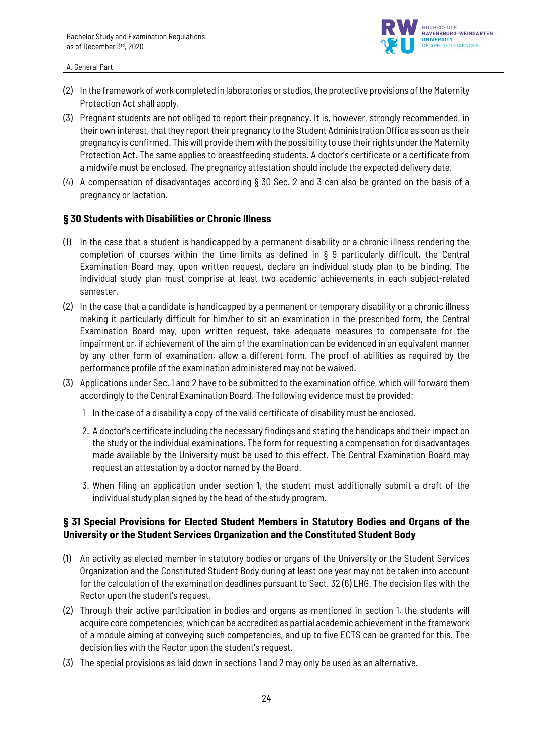

- (2) In the framework of work completed in laboratories or studios, the protective provisions of the Maternity Protection Act shall apply.
- (3) Pregnant students are not obliged to report their pregnancy. It is, however, strongly recommended, in their own interest, that they report their pregnancy to the Student Administration Office as soon as their pregnancy is confirmed. This will provide them with the possibility to use their rights under the Maternity Protection Act. The same applies to breastfeeding students. A doctor's certificate or a certificate from a midwife must be enclosed. The pregnancy attestation should include the expected delivery date.
- (4) A compensation of disadvantages according § 30 Sec. 2 and 3 can also be granted on the basis of a pregnancy or lactation.

### **§ 30 Students with Disabilities or Chronic Illness**

- (1) In the case that a student is handicapped by a permanent disability or a chronic illness rendering the completion of courses within the time limits as defined in § 9 particularly difficult, the Central Examination Board may, upon written request, declare an individual study plan to be binding. The individual study plan must comprise at least two academic achievements in each subject-related semester.
- (2) In the case that a candidate is handicapped by a permanent or temporary disability or a chronic illness making it particularly difficult for him/her to sit an examination in the prescribed form, the Central Examination Board may, upon written request, take adequate measures to compensate for the impairment or, if achievement of the aim of the examination can be evidenced in an equivalent manner by any other form of examination, allow a different form. The proof of abilities as required by the performance profile of the examination administered may not be waived.
- (3) Applications under Sec. 1 and 2 have to be submitted to the examination office, which will forward them accordingly to the Central Examination Board. The following evidence must be provided:
	- 1 In the case of a disability a copy of the valid certificate of disability must be enclosed.
	- 2. A doctor's certificate including the necessary findings and stating the handicaps and their impact on the study or the individual examinations. The form for requesting a compensation for disadvantages made available by the University must be used to this effect. The Central Examination Board may request an attestation by a doctor named by the Board.
	- 3. When filing an application under section 1, the student must additionally submit a draft of the individual study plan signed by the head of the study program.

# **§ 31 Special Provisions for Elected Student Members in Statutory Bodies and Organs of the University or the Student Services Organization and the Constituted Student Body**

- (1) An activity as elected member in statutory bodies or organs of the University or the Student Services Organization and the Constituted Student Body during at least one year may not be taken into account for the calculation of the examination deadlines pursuant to Sect. 32 (6) LHG. The decision lies with the Rector upon the student's request.
- (2) Through their active participation in bodies and organs as mentioned in section 1, the students will acquire core competencies, which can be accredited as partial academic achievement in the framework of a module aiming at conveying such competencies, and up to five ECTS can be granted for this. The decision lies with the Rector upon the student's request.
- (3) The special provisions as laid down in sections 1 and 2 may only be used as an alternative.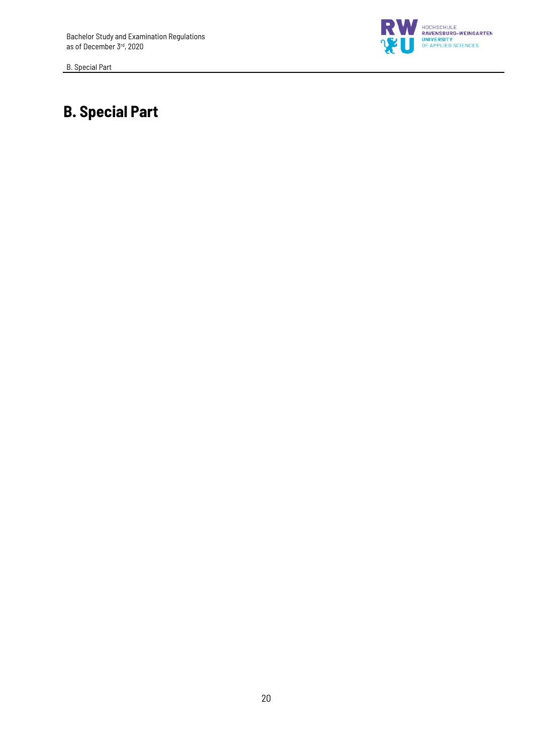B. Special Part



# **B. Special Part**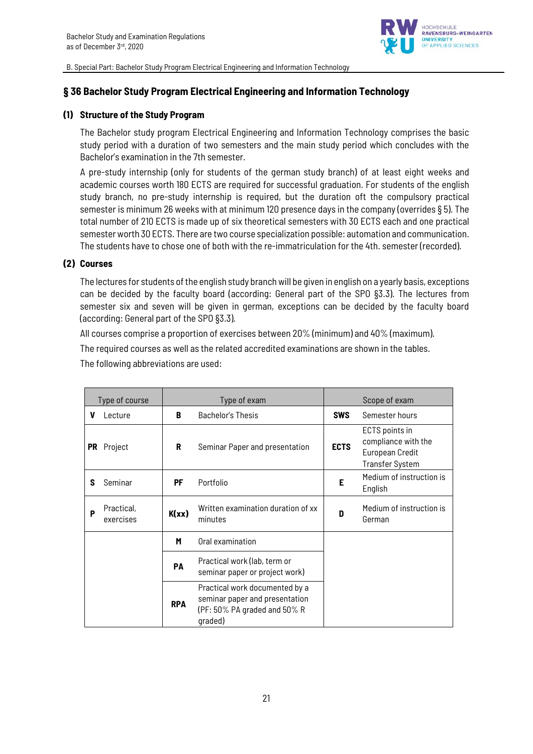

# **§ 36 Bachelor Study Program Electrical Engineering and Information Technology**

### **(1) Structure of the Study Program**

The Bachelor study program Electrical Engineering and Information Technology comprises the basic study period with a duration of two semesters and the main study period which concludes with the Bachelor's examination in the 7th semester.

A pre-study internship (only for students of the german study branch) of at least eight weeks and academic courses worth 180 ECTS are required for successful graduation. For students of the english study branch, no pre-study internship is required, but the duration oft the compulsory practical semester is minimum 26 weeks with at minimum 120 presence days in the company (overrides § 5). The total number of 210 ECTS is made up of six theoretical semesters with 30 ECTS each and one practical semester worth 30 ECTS. There are two course specialization possible: automation and communication. The students have to chose one of both with the re-immatriculation for the 4th. semester (recorded).

### **(2) Courses**

The lectures for students of the english study branch will be given in english on a yearly basis, exceptions can be decided by the faculty board (according: General part of the SPO §3.3). The lectures from semester six and seven will be given in german, exceptions can be decided by the faculty board (according: General part of the SPO §3.3).

All courses comprise a proportion of exercises between 20% (minimum) and 40% (maximum). The required courses as well as the related accredited examinations are shown in the tables. The following abbreviations are used:

| Type of course |                         | Type of exam                                           |                                                                                                             | Scope of exam |                                                                                    |
|----------------|-------------------------|--------------------------------------------------------|-------------------------------------------------------------------------------------------------------------|---------------|------------------------------------------------------------------------------------|
| v              | Lecture                 | B                                                      | Bachelor's Thesis                                                                                           | <b>SWS</b>    | Semester hours                                                                     |
|                | PR Project              | R                                                      | Seminar Paper and presentation                                                                              | <b>ECTS</b>   | ECTS points in<br>compliance with the<br>European Credit<br><b>Transfer System</b> |
| S              | Seminar                 | PF                                                     | Portfolio                                                                                                   | Е             | Medium of instruction is<br>English                                                |
| P              | Practical,<br>exercises | Written examination duration of xx<br>K(xx)<br>minutes |                                                                                                             | D             | Medium of instruction is<br>German                                                 |
|                |                         | Oral examination<br>M                                  |                                                                                                             |               |                                                                                    |
|                |                         | PA                                                     | Practical work (lab, term or<br>seminar paper or project work)                                              |               |                                                                                    |
|                |                         | <b>RPA</b>                                             | Practical work documented by a<br>seminar paper and presentation<br>(PF: 50% PA graded and 50% R<br>qraded) |               |                                                                                    |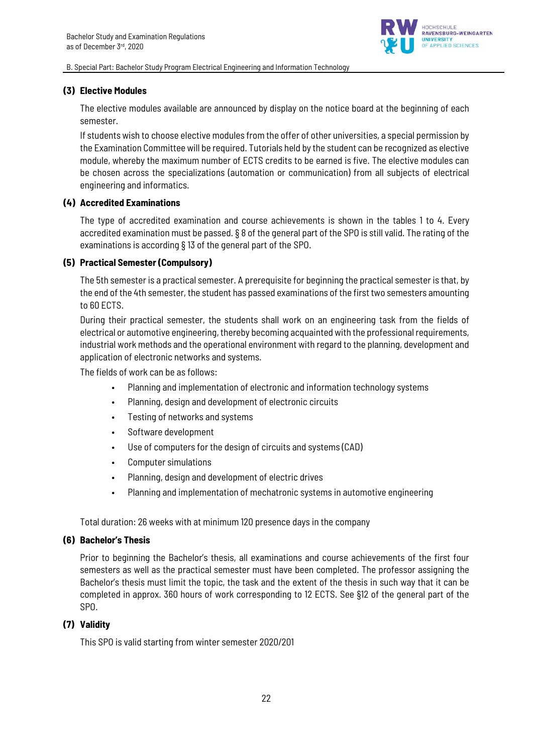

### **(3) Elective Modules**

The elective modules available are announced by display on the notice board at the beginning of each semester.

If students wish to choose elective modules from the offer of other universities, a special permission by the Examination Committee will be required. Tutorials held by the student can be recognized as elective module, whereby the maximum number of ECTS credits to be earned is five. The elective modules can be chosen across the specializations (automation or communication) from all subjects of electrical engineering and informatics.

### **(4) Accredited Examinations**

The type of accredited examination and course achievements is shown in the tables 1 to 4. Every accredited examination must be passed. § 8 of the general part of the SPO is still valid. The rating of the examinations is according § 13 of the general part of the SPO.

### **(5) Practical Semester (Compulsory)**

The 5th semester is a practical semester. A prerequisite for beginning the practical semester is that, by the end of the 4th semester, the student has passed examinations of the first two semesters amounting to 60 ECTS.

During their practical semester, the students shall work on an engineering task from the fields of electrical or automotive engineering, thereby becoming acquainted with the professional requirements, industrial work methods and the operational environment with regard to the planning, development and application of electronic networks and systems.

The fields of work can be as follows:

- Planning and implementation of electronic and information technology systems
- Planning, design and development of electronic circuits
- Testing of networks and systems
- Software development
- Use of computers for the design of circuits and systems (CAD)
- Computer simulations
- Planning, design and development of electric drives
- Planning and implementation of mechatronic systems in automotive engineering

Total duration: 26 weeks with at minimum 120 presence days in the company

### **(6) Bachelor's Thesis**

Prior to beginning the Bachelor's thesis, all examinations and course achievements of the first four semesters as well as the practical semester must have been completed. The professor assigning the Bachelor's thesis must limit the topic, the task and the extent of the thesis in such way that it can be completed in approx. 360 hours of work corresponding to 12 ECTS. See §12 of the general part of the SPO.

### **(7) Validity**

This SPO is valid starting from winter semester 2020/201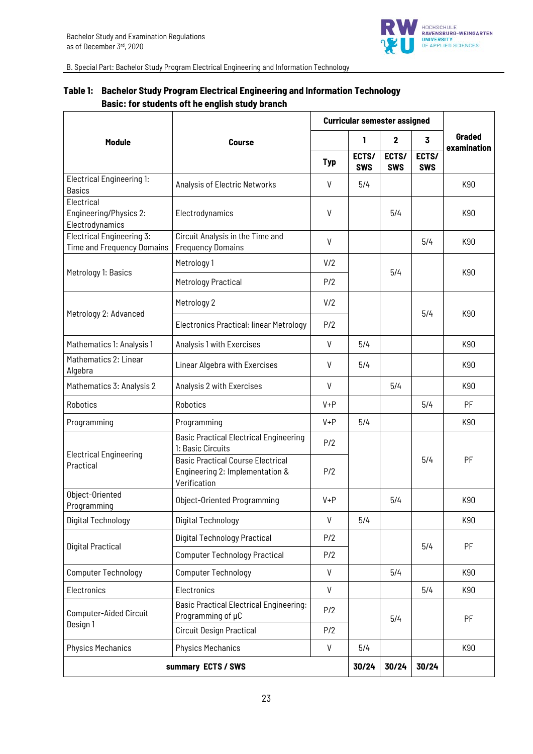

|                                                         |                                                                                             |              | <b>Curricular semester assigned</b> |                     |                     |             |
|---------------------------------------------------------|---------------------------------------------------------------------------------------------|--------------|-------------------------------------|---------------------|---------------------|-------------|
| Module                                                  | <b>Course</b>                                                                               |              | 1                                   | $\mathbf{2}$        | 3                   | Graded      |
|                                                         |                                                                                             | <b>Typ</b>   | ECTS/<br><b>SWS</b>                 | ECTS/<br><b>SWS</b> | ECTS/<br><b>SWS</b> | examination |
| <b>Electrical Engineering 1:</b><br><b>Basics</b>       | Analysis of Electric Networks                                                               | V            | 5/4                                 |                     |                     | K90         |
| Electrical<br>Engineering/Physics 2:<br>Electrodynamics | Electrodynamics                                                                             | V            |                                     | 5/4                 |                     | K90         |
| Electrical Engineering 3:<br>Time and Frequency Domains | Circuit Analysis in the Time and<br><b>Frequency Domains</b>                                | V            |                                     |                     | 5/4                 | K90         |
|                                                         | Metrology 1                                                                                 | V/2          |                                     |                     |                     |             |
| Metrology 1: Basics                                     | Metrology Practical                                                                         | P/2          |                                     | 5/4                 |                     | K90         |
|                                                         | Metrology 2                                                                                 | V/2          |                                     |                     |                     |             |
| Metrology 2: Advanced                                   | <b>Electronics Practical: linear Metrology</b>                                              | P/2          |                                     | 5/4                 |                     | K90         |
| Mathematics 1: Analysis 1                               | Analysis 1 with Exercises                                                                   | V            | 5/4                                 |                     |                     | K90         |
| Mathematics 2: Linear<br>Algebra                        | Linear Algebra with Exercises                                                               | V            | 5/4                                 |                     |                     | K90         |
| Mathematics 3: Analysis 2                               | Analysis 2 with Exercises                                                                   |              |                                     | 5/4                 |                     | K90         |
| Robotics                                                | Robotics                                                                                    | $V + P$      |                                     |                     | 5/4                 | PF          |
| Programming                                             | Programming                                                                                 | $V + P$      | 5/4                                 |                     |                     | K90         |
|                                                         | <b>Basic Practical Electrical Engineering</b><br>1: Basic Circuits                          | P/2          |                                     |                     |                     |             |
| <b>Electrical Engineering</b><br>Practical              | <b>Basic Practical Course Electrical</b><br>Engineering 2: Implementation &<br>Verification | P/2          |                                     |                     | 5/4                 | PF          |
| Object-Oriented<br>Programming                          | Object-Oriented Programming                                                                 | $V + P$      |                                     | 5/4                 |                     | K90         |
| Digital Technology                                      | Digital Technology                                                                          | $\mathsf{V}$ | 5/4                                 |                     |                     | K90         |
| <b>Digital Practical</b>                                | <b>Digital Technology Practical</b>                                                         | P/2          |                                     |                     | 5/4                 | PF          |
|                                                         | <b>Computer Technology Practical</b>                                                        | P/2          |                                     |                     |                     |             |
| <b>Computer Technology</b>                              | <b>Computer Technology</b>                                                                  | $\mathsf{V}$ |                                     | 5/4                 |                     | K90         |
| Electronics                                             | Electronics                                                                                 | V            |                                     |                     | 5/4                 | K90         |
| Computer-Aided Circuit                                  | <b>Basic Practical Electrical Engineering:</b><br>Programming of µC                         | P/2          |                                     | 5/4                 |                     | PF          |
| Design 1                                                | <b>Circuit Design Practical</b>                                                             | P/2          |                                     |                     |                     |             |
| <b>Physics Mechanics</b>                                | <b>Physics Mechanics</b>                                                                    | $\mathsf{V}$ | 5/4                                 |                     |                     | K90         |
|                                                         | summary ECTS / SWS                                                                          |              | 30/24                               | 30/24               | 30/24               |             |

# **Table 1: Bachelor Study Program Electrical Engineering and Information Technology Basic: for students oft he english study branch**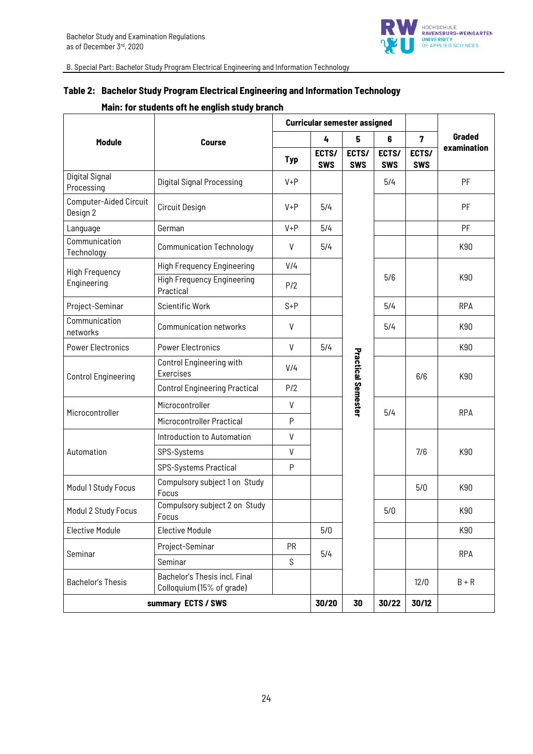

# **Table 2: Bachelor Study Program Electrical Engineering and Information Technology**

# **Main: for students oft he english study branch**

|                                    |                                                            | <b>Curricular semester assigned</b> |                     |                           |                     |                     |             |
|------------------------------------|------------------------------------------------------------|-------------------------------------|---------------------|---------------------------|---------------------|---------------------|-------------|
| <b>Module</b>                      | <b>Course</b>                                              |                                     | 4                   | 5                         | 6                   | $\overline{7}$      | Graded      |
|                                    |                                                            | <b>Typ</b>                          | ECTS/<br><b>SWS</b> | ECTS/<br><b>SWS</b>       | ECTS/<br><b>SWS</b> | ECTS/<br><b>SWS</b> | examination |
| Digital Signal<br>Processing       | <b>Digital Signal Processing</b>                           | $V + P$                             |                     |                           | 5/4                 |                     | PF          |
| Computer-Aided Circuit<br>Design 2 | Circuit Design                                             | $V + P$                             | 5/4                 |                           |                     |                     | PF          |
| Language                           | German                                                     | $V + P$                             | 5/4                 |                           |                     |                     | PF          |
| Communication<br>Technology        | <b>Communication Technology</b>                            | ٧                                   | 5/4                 |                           |                     |                     | K90         |
| <b>High Frequency</b>              | <b>High Frequency Engineering</b>                          | V/4                                 |                     |                           |                     |                     |             |
| Engineering                        | <b>High Frequency Engineering</b><br>Practical             | P/2                                 |                     |                           | 5/6                 |                     | K90         |
| Project-Seminar                    | <b>Scientific Work</b>                                     | $S + P$                             |                     |                           | 5/4                 |                     | <b>RPA</b>  |
| Communication<br>networks          | <b>Communication networks</b>                              | V                                   |                     |                           | 5/4                 |                     | K90         |
| <b>Power Electronics</b>           | <b>Power Electronics</b>                                   | V                                   | 5/4                 |                           |                     |                     | K90         |
| <b>Control Engineering</b>         | Control Engineering with<br>Exercises                      | V/4                                 |                     | <b>Practical Semester</b> |                     | 6/6                 | K90         |
|                                    | <b>Control Engineering Practical</b>                       | P/2                                 |                     |                           |                     |                     |             |
|                                    | Microcontroller                                            | V                                   |                     |                           | 5/4                 |                     |             |
| Microcontroller                    | Microcontroller Practical                                  | P                                   |                     |                           |                     |                     | <b>RPA</b>  |
|                                    | Introduction to Automation                                 | V                                   |                     |                           |                     |                     |             |
| Automation                         | SPS-Systems                                                | V                                   |                     |                           |                     | 7/6                 | K90         |
|                                    | SPS-Systems Practical                                      | P                                   |                     |                           |                     |                     |             |
| Modul 1 Study Focus                | Compulsory subject 1 on Study<br>Focus                     |                                     |                     |                           |                     | 5/0                 | K90         |
| Modul 2 Study Focus                | Compulsory subject 2 on Study<br>Focus                     |                                     |                     |                           | 5/0                 |                     | K90         |
| <b>Elective Module</b>             | <b>Elective Module</b>                                     |                                     | 5/0                 |                           |                     |                     | K90         |
| Seminar                            | Project-Seminar                                            | <b>PR</b>                           | 5/4                 |                           |                     |                     | <b>RPA</b>  |
|                                    | Seminar                                                    | S                                   |                     |                           |                     |                     |             |
| <b>Bachelor's Thesis</b>           | Bachelor's Thesis incl. Final<br>Colloquium (15% of grade) |                                     |                     |                           |                     | 12/0                | $B + R$     |
| summary ECTS / SWS                 |                                                            |                                     | 30/20               | 30                        | 30/22               | 30/12               |             |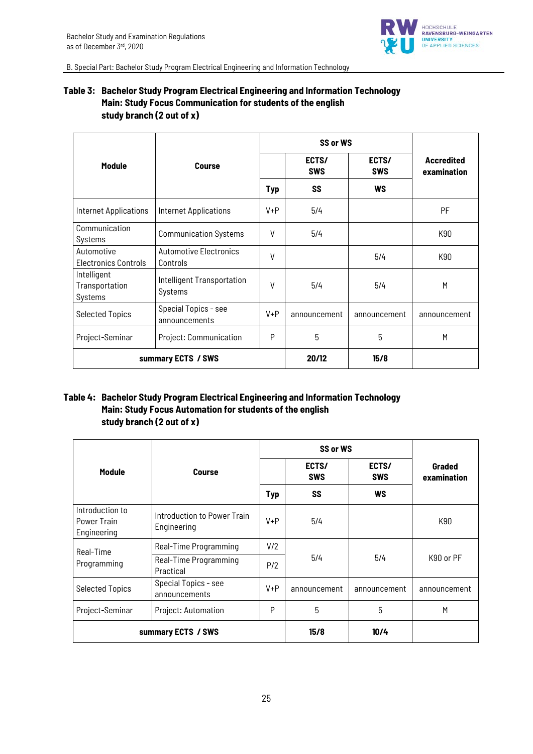

# **Table 3: Bachelor Study Program Electrical Engineering and Information Technology Main: Study Focus Communication for students of the english study branch (2 out of x)**

|                                           |                                           |         | SS or WS            |                     |                                  |
|-------------------------------------------|-------------------------------------------|---------|---------------------|---------------------|----------------------------------|
| <b>Module</b>                             | <b>Course</b>                             |         | ECTS/<br><b>SWS</b> | ECTS/<br><b>SWS</b> | <b>Accredited</b><br>examination |
|                                           |                                           | Typ     | <b>SS</b>           | <b>WS</b>           |                                  |
| <b>Internet Applications</b>              | <b>Internet Applications</b>              | $V + P$ | 5/4                 |                     | PF                               |
| Communication<br>Systems                  | <b>Communication Systems</b>              | V       | 5/4                 |                     | K90                              |
| Automotive<br><b>Electronics Controls</b> | <b>Automotive Electronics</b><br>Controls | V       |                     | 5/4                 | K90                              |
| Intelligent<br>Transportation<br>Systems  | Intelligent Transportation<br>Systems     | V       | 5/4                 | 5/4                 | M                                |
| <b>Selected Topics</b>                    | Special Topics - see<br>announcements     | $V + P$ | announcement        | announcement        | announcement                     |
| Project-Seminar                           | Project: Communication                    | P       | 5                   | 5                   | M                                |
|                                           | summary ECTS / SWS                        | 20/12   | 15/8                |                     |                                  |

### **Table 4: Bachelor Study Program Electrical Engineering and Information Technology Main: Study Focus Automation for students of the english study branch (2 out of x)**

|                                               |                                            |                     | SS or WS     |                     |                       |
|-----------------------------------------------|--------------------------------------------|---------------------|--------------|---------------------|-----------------------|
| <b>Module</b>                                 | Course                                     | ECTS/<br><b>SWS</b> |              | ECTS/<br><b>SWS</b> | Graded<br>examination |
|                                               |                                            | <b>Typ</b>          | SS           | <b>WS</b>           |                       |
| Introduction to<br>Power Train<br>Engineering | Introduction to Power Train<br>Engineering | $V + P$             | 5/4          |                     | K90                   |
| Real-Time                                     | Real-Time Programming                      | V/2                 |              |                     | K90 or PF             |
| Programming                                   | Real-Time Programming<br>Practical         | P/2                 | 5/4          | 5/4                 |                       |
| <b>Selected Topics</b>                        | Special Topics - see<br>announcements      | $V + P$             | announcement | announcement        | announcement          |
| Project-Seminar                               | Project: Automation                        | 5<br>P              |              | 5                   | M                     |
| summary ECTS / SWS                            |                                            |                     | 15/8         | 10/4                |                       |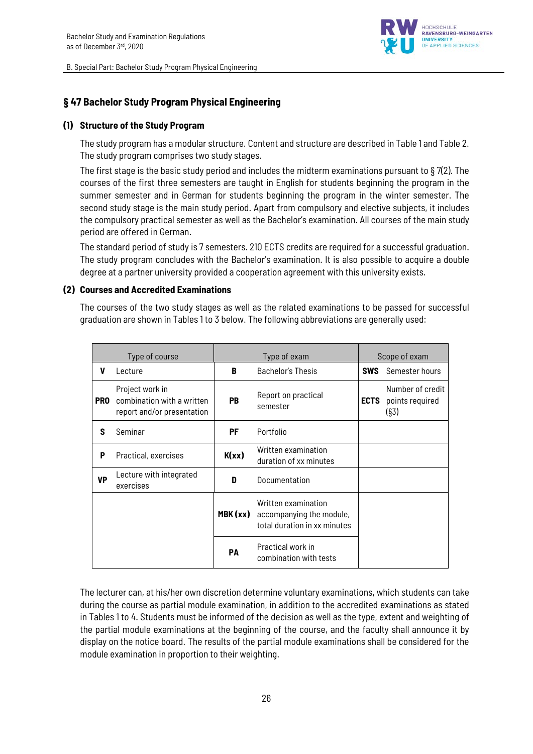

# **§ 47 Bachelor Study Program Physical Engineering**

### **(1) Structure of the Study Program**

The study program has a modular structure. Content and structure are described in Table 1 and Table 2. The study program comprises two study stages.

The first stage is the basic study period and includes the midterm examinations pursuant to § 7(2). The courses of the first three semesters are taught in English for students beginning the program in the summer semester and in German for students beginning the program in the winter semester. The second study stage is the main study period. Apart from compulsory and elective subjects, it includes the compulsory practical semester as well as the Bachelor's examination. All courses of the main study period are offered in German.

The standard period of study is 7 semesters. 210 ECTS credits are required for a successful graduation. The study program concludes with the Bachelor's examination. It is also possible to acquire a double degree at a partner university provided a cooperation agreement with this university exists.

### **(2) Courses and Accredited Examinations**

The courses of the two study stages as well as the related examinations to be passed for successful graduation are shown in Tables 1 to 3 below. The following abbreviations are generally used:

| Type of course |                                                                             | Type of exam |                                                                                 | Scope of exam |                                             |
|----------------|-----------------------------------------------------------------------------|--------------|---------------------------------------------------------------------------------|---------------|---------------------------------------------|
| V              | Lecture                                                                     | B            | Bachelor's Thesis                                                               | <b>SWS</b>    | Semester hours                              |
| <b>PRO</b>     | Project work in<br>combination with a written<br>report and/or presentation | <b>PB</b>    | Report on practical<br>semester                                                 | <b>ECTS</b>   | Number of credit<br>points required<br>(S3) |
| s              | Seminar                                                                     | РF           | Portfolio                                                                       |               |                                             |
| P              | Practical, exercises                                                        | K(xx)        | Written examination<br>duration of xx minutes                                   |               |                                             |
| <b>VP</b>      | Lecture with integrated<br>exercises                                        | D            | Documentation                                                                   |               |                                             |
|                |                                                                             | MBK (xx)     | Written examination<br>accompanying the module,<br>total duration in xx minutes |               |                                             |
|                |                                                                             | PA           | Practical work in<br>combination with tests                                     |               |                                             |

The lecturer can, at his/her own discretion determine voluntary examinations, which students can take during the course as partial module examination, in addition to the accredited examinations as stated in Tables 1 to 4. Students must be informed of the decision as well as the type, extent and weighting of the partial module examinations at the beginning of the course, and the faculty shall announce it by display on the notice board. The results of the partial module examinations shall be considered for the module examination in proportion to their weighting.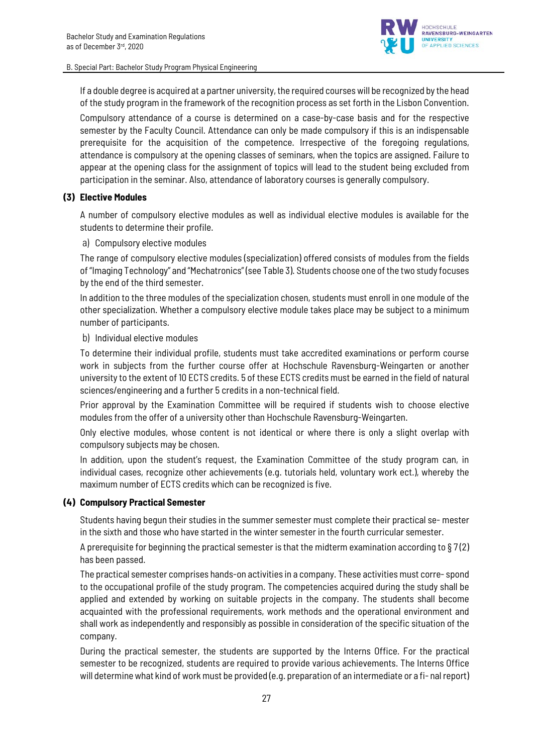

If a double degree is acquired at a partner university, the required courses will be recognized by the head of the study program in the framework of the recognition process as set forth in the Lisbon Convention.

Compulsory attendance of a course is determined on a case-by-case basis and for the respective semester by the Faculty Council. Attendance can only be made compulsory if this is an indispensable prerequisite for the acquisition of the competence. Irrespective of the foregoing regulations, attendance is compulsory at the opening classes of seminars, when the topics are assigned. Failure to appear at the opening class for the assignment of topics will lead to the student being excluded from participation in the seminar. Also, attendance of laboratory courses is generally compulsory.

### **(3) Elective Modules**

A number of compulsory elective modules as well as individual elective modules is available for the students to determine their profile.

### a) Compulsory elective modules

The range of compulsory elective modules (specialization) offered consists of modules from the fields of "Imaging Technology" and "Mechatronics" (see Table 3). Students choose one of the two study focuses by the end of the third semester.

In addition to the three modules of the specialization chosen, students must enroll in one module of the other specialization. Whether a compulsory elective module takes place may be subject to a minimum number of participants.

### b) Individual elective modules

To determine their individual profile, students must take accredited examinations or perform course work in subjects from the further course offer at Hochschule Ravensburg-Weingarten or another university to the extent of 10 ECTS credits. 5 of these ECTS credits must be earned in the field of natural sciences/engineering and a further 5 credits in a non-technical field.

Prior approval by the Examination Committee will be required if students wish to choose elective modules from the offer of a university other than Hochschule Ravensburg-Weingarten.

Only elective modules, whose content is not identical or where there is only a slight overlap with compulsory subjects may be chosen.

In addition, upon the student's request, the Examination Committee of the study program can, in individual cases, recognize other achievements (e.g. tutorials held, voluntary work ect.), whereby the maximum number of ECTS credits which can be recognized is five.

### **(4) Compulsory Practical Semester**

Students having begun their studies in the summer semester must complete their practical se- mester in the sixth and those who have started in the winter semester in the fourth curricular semester.

A prerequisite for beginning the practical semester is that the midterm examination according to  $\S 7(2)$ has been passed.

The practical semester comprises hands-on activities in a company. These activities must corre- spond to the occupational profile of the study program. The competencies acquired during the study shall be applied and extended by working on suitable projects in the company. The students shall become acquainted with the professional requirements, work methods and the operational environment and shall work as independently and responsibly as possible in consideration of the specific situation of the company.

During the practical semester, the students are supported by the Interns Office. For the practical semester to be recognized, students are required to provide various achievements. The Interns Office will determine what kind of work must be provided (e.g. preparation of an intermediate or a fi- nalreport)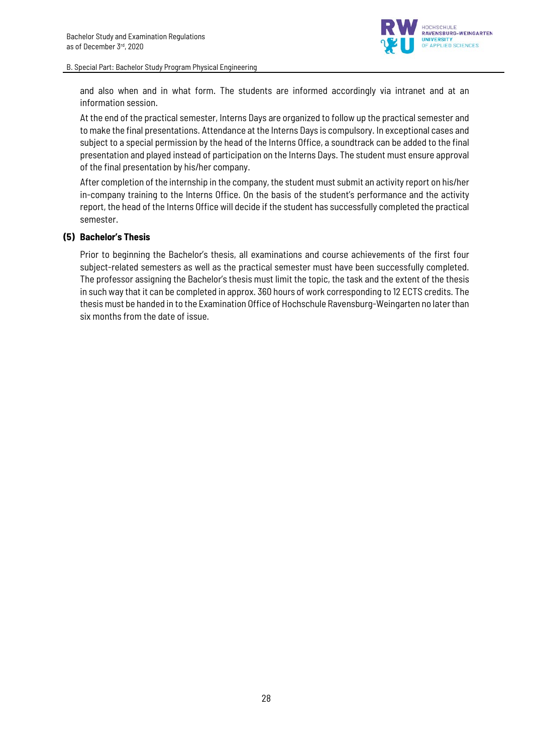

and also when and in what form. The students are informed accordingly via intranet and at an information session.

At the end of the practical semester, Interns Days are organized to follow up the practical semester and to make the final presentations. Attendance at the Interns Days is compulsory. In exceptional cases and subject to a special permission by the head of the Interns Office, a soundtrack can be added to the final presentation and played instead of participation on the Interns Days. The student must ensure approval of the final presentation by his/her company.

After completion of the internship in the company, the student must submit an activity report on his/her in-company training to the Interns Office. On the basis of the student's performance and the activity report, the head of the Interns Office will decide if the student has successfully completed the practical semester.

### **(5) Bachelor's Thesis**

Prior to beginning the Bachelor's thesis, all examinations and course achievements of the first four subject-related semesters as well as the practical semester must have been successfully completed. The professor assigning the Bachelor's thesis must limit the topic, the task and the extent of the thesis in such way that it can be completed in approx. 360 hours of work corresponding to 12 ECTS credits. The thesis must be handed in to the Examination Office of Hochschule Ravensburg-Weingarten no later than six months from the date of issue.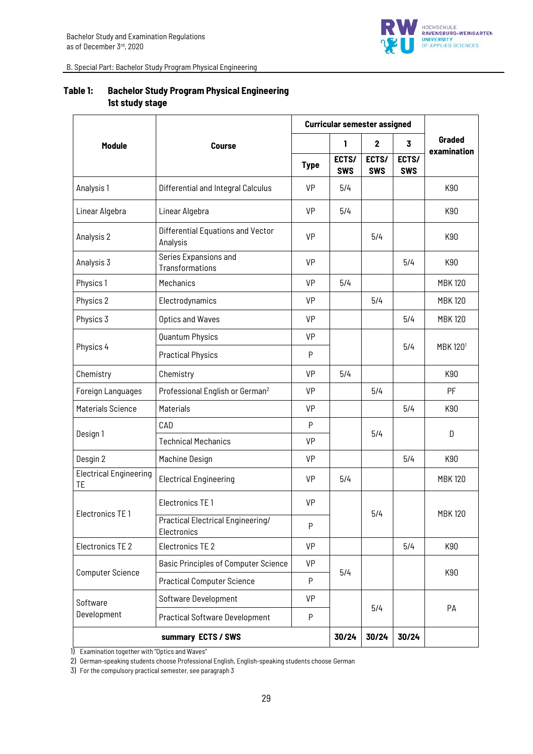

|                                     | <b>Curricular semester assigned</b>              |             |                     |                     |                     |                              |  |
|-------------------------------------|--------------------------------------------------|-------------|---------------------|---------------------|---------------------|------------------------------|--|
| <b>Module</b>                       | <b>Course</b>                                    |             | 1                   | $\mathbf 2$         | $\overline{3}$      | <b>Graded</b><br>examination |  |
|                                     |                                                  | <b>Type</b> | ECTS/<br><b>SWS</b> | ECTS/<br><b>SWS</b> | ECTS/<br><b>SWS</b> |                              |  |
| Analysis 1                          | Differential and Integral Calculus               | VP          | 5/4                 |                     |                     | K90                          |  |
| Linear Algebra                      | Linear Algebra                                   | VP          | 5/4                 |                     |                     | K90                          |  |
| Analysis 2                          | Differential Equations and Vector<br>Analysis    | <b>VP</b>   |                     | 5/4                 |                     | K90                          |  |
| Analysis 3                          | Series Expansions and<br>Transformations         | VP          |                     |                     | 5/4                 | K90                          |  |
| Physics 1                           | Mechanics                                        | <b>VP</b>   | 5/4                 |                     |                     | <b>MBK120</b>                |  |
| Physics 2                           | Electrodynamics                                  | VP          |                     | 5/4                 |                     | <b>MBK120</b>                |  |
| Physics 3                           | <b>Optics and Waves</b>                          | VP          |                     |                     | 5/4                 | <b>MBK120</b>                |  |
|                                     | Quantum Physics                                  | VP          |                     |                     |                     |                              |  |
| Physics 4                           | <b>Practical Physics</b>                         | P           |                     |                     | 5/4                 | <b>MBK 1201</b>              |  |
| Chemistry                           | Chemistry                                        | <b>VP</b>   | 5/4                 |                     |                     | K90                          |  |
| Foreign Languages                   | Professional English or German <sup>2</sup>      | VP          |                     | 5/4                 |                     | PF                           |  |
| Materials Science                   | <b>Materials</b>                                 | <b>VP</b>   |                     |                     | 5/4                 | K90                          |  |
|                                     | CAD                                              | P           |                     |                     |                     |                              |  |
| Design 1                            | <b>Technical Mechanics</b>                       | VP          |                     | 5/4                 |                     | D                            |  |
| Desgin 2                            | Machine Design                                   | VP          |                     |                     | 5/4                 | K90                          |  |
| <b>Electrical Engineering</b><br>TE | <b>Electrical Engineering</b>                    | VP          | 5/4                 |                     |                     | <b>MBK120</b>                |  |
|                                     | Electronics TE 1                                 | VP          |                     |                     |                     |                              |  |
| Electronics TE1                     | Practical Electrical Engineering/<br>Electronics | P           |                     | 5/4                 |                     | <b>MBK120</b>                |  |
| Electronics TE 2                    | Electronics TE 2                                 | VP          |                     |                     | 5/4                 | K90                          |  |
|                                     | <b>Basic Principles of Computer Science</b>      | VP          |                     |                     |                     |                              |  |
| <b>Computer Science</b>             | <b>Practical Computer Science</b>                | P           | 5/4                 |                     |                     | K90                          |  |
| Software                            | Software Development                             | VP          |                     |                     |                     |                              |  |
| Development                         | <b>Practical Software Development</b>            | P           |                     | 5/4                 |                     | PA                           |  |
|                                     | summary ECTS / SWS                               |             | 30/24               | 30/24               | 30/24               |                              |  |

# **Table 1: Bachelor Study Program Physical Engineering 1st study stage**

1) Examination together with "Optics and Waves"

2) German-speaking students choose Professional English, English-speaking students choose German

3) For the compulsory practical semester, see paragraph 3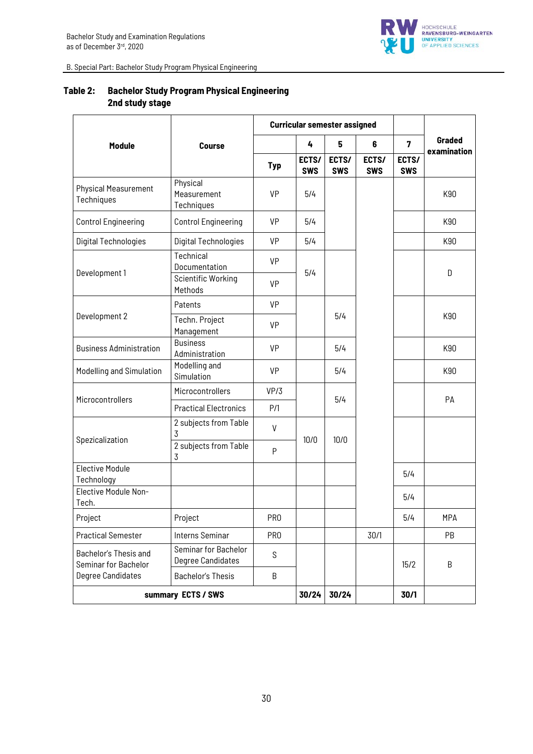

|                                               |                                           |                 | <b>Curricular semester assigned</b> |                     |                     |                         |             |
|-----------------------------------------------|-------------------------------------------|-----------------|-------------------------------------|---------------------|---------------------|-------------------------|-------------|
| <b>Module</b>                                 | <b>Course</b>                             |                 | 4                                   | 5                   | 6                   | $\overline{\mathbf{z}}$ | Graded      |
|                                               |                                           | <b>Typ</b>      | ECTS/<br><b>SWS</b>                 | ECTS/<br><b>SWS</b> | ECTS/<br><b>SWS</b> | ECTS/<br><b>SWS</b>     | examination |
| <b>Physical Measurement</b><br>Techniques     | Physical<br>Measurement<br>Techniques     | <b>VP</b>       | 5/4                                 |                     |                     |                         | K90         |
| <b>Control Engineering</b>                    | <b>Control Engineering</b>                | VP              | 5/4                                 |                     |                     |                         | K90         |
| Digital Technologies                          | <b>Digital Technologies</b>               | <b>VP</b>       | 5/4                                 |                     |                     |                         | K90         |
| Development 1                                 | Technical<br>Documentation                | <b>VP</b>       | 5/4                                 |                     |                     | D                       |             |
|                                               | <b>Scientific Working</b><br>Methods      | <b>VP</b>       |                                     |                     |                     |                         |             |
|                                               | Patents                                   | VP              |                                     |                     |                     |                         |             |
| Development 2                                 | Techn. Project<br>Management              | VP              |                                     | 5/4                 |                     |                         | K90         |
| <b>Business Administration</b>                | <b>Business</b><br>Administration         | VP              |                                     | 5/4                 |                     |                         | K90         |
| Modelling and Simulation                      | Modelling and<br>Simulation               | VP              |                                     | 5/4                 |                     |                         | K90         |
|                                               | Microcontrollers                          | VP/3            |                                     | 5/4                 |                     |                         | PA          |
| Microcontrollers                              | <b>Practical Electronics</b>              | P/1             |                                     |                     |                     |                         |             |
|                                               | 2 subjects from Table<br>3                | V               | 10/0                                | 10/0                |                     |                         |             |
| Spezicalization                               | 2 subjects from Table<br>3                | P               |                                     |                     |                     |                         |             |
| <b>Elective Module</b><br>Technology          |                                           |                 |                                     |                     |                     | 5/4                     |             |
| Elective Module Non-<br>Tech.                 |                                           |                 |                                     |                     |                     | 5/4                     |             |
| Project                                       | Project                                   | PR <sub>0</sub> |                                     |                     |                     | 5/4                     | <b>MPA</b>  |
| <b>Practical Semester</b>                     | <b>Interns Seminar</b>                    | PR <sub>0</sub> |                                     |                     | 30/1                |                         | PB          |
| Bachelor's Thesis and<br>Seminar for Bachelor | Seminar for Bachelor<br>Degree Candidates | S               |                                     |                     |                     | 15/2                    | B           |
| <b>Degree Candidates</b>                      | <b>Bachelor's Thesis</b>                  | B               |                                     |                     |                     |                         |             |
| summary ECTS / SWS                            |                                           |                 | 30/24                               | 30/24               |                     | 30/1                    |             |

# **Table 2: Bachelor Study Program Physical Engineering 2nd study stage**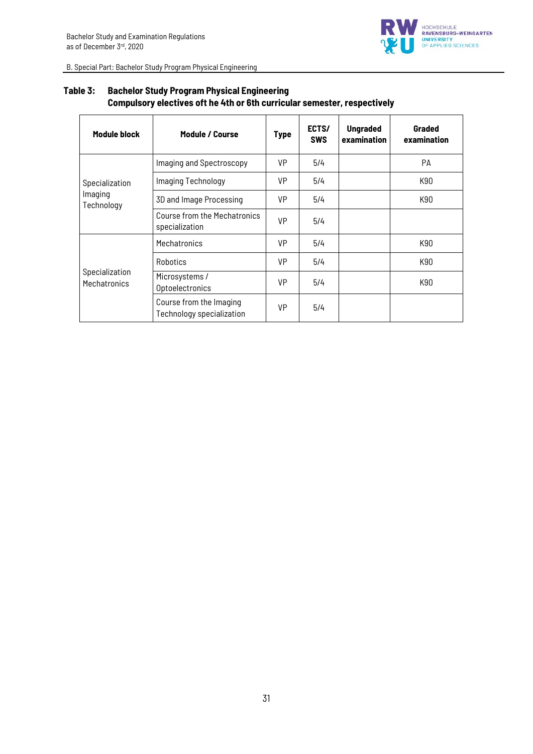

| Module block                            | Module / Course                                      | <b>Type</b> | ECTS/<br><b>SWS</b> | <b>Ungraded</b><br>examination | Graded<br>examination |
|-----------------------------------------|------------------------------------------------------|-------------|---------------------|--------------------------------|-----------------------|
| Specialization<br>Imaging<br>Technology | Imaging and Spectroscopy                             | VP          | 5/4                 |                                | PA                    |
|                                         | Imaging Technology                                   | <b>VP</b>   | 5/4                 |                                | K90                   |
|                                         | 3D and Image Processing                              | VP          | 5/4                 |                                | K90                   |
|                                         | Course from the Mechatronics<br>specialization       | <b>VP</b>   | 5/4                 |                                |                       |
| Specialization<br>Mechatronics          | Mechatronics                                         | <b>VP</b>   | 5/4                 |                                | K90                   |
|                                         | <b>Robotics</b>                                      | <b>VP</b>   | 5/4                 |                                | K90                   |
|                                         | Microsystems /<br>Optoelectronics                    | <b>VP</b>   | 5/4                 |                                | K90                   |
|                                         | Course from the Imaging<br>Technology specialization | <b>VP</b>   | 5/4                 |                                |                       |

# **Table 3: Bachelor Study Program Physical Engineering Compulsory electives oft he 4th or 6th curricular semester, respectively**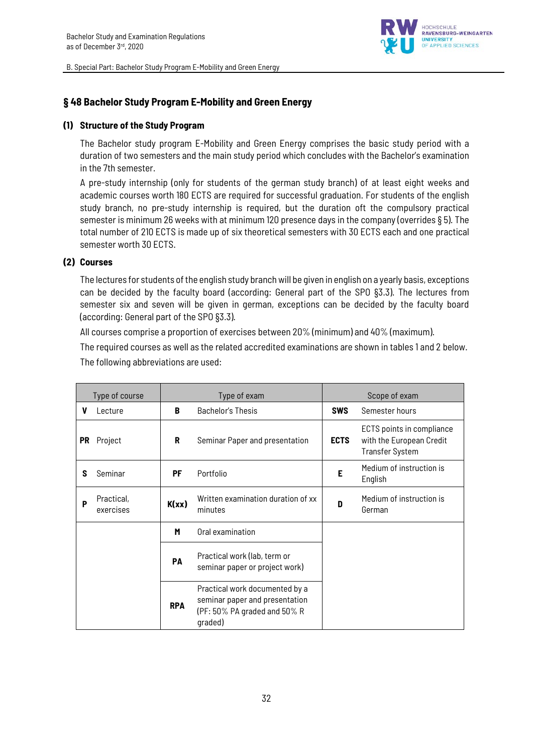

# **§ 48 Bachelor Study Program E-Mobility and Green Energy**

### **(1) Structure of the Study Program**

The Bachelor study program E-Mobility and Green Energy comprises the basic study period with a duration of two semesters and the main study period which concludes with the Bachelor's examination in the 7th semester.

A pre-study internship (only for students of the german study branch) of at least eight weeks and academic courses worth 180 ECTS are required for successful graduation. For students of the english study branch, no pre-study internship is required, but the duration oft the compulsory practical semester is minimum 26 weeks with at minimum 120 presence days in the company (overrides § 5). The total number of 210 ECTS is made up of six theoretical semesters with 30 ECTS each and one practical semester worth 30 ECTS.

### **(2) Courses**

The lectures for students of the english study branch will be given in english on a yearly basis, exceptions can be decided by the faculty board (according: General part of the SPO §3.3). The lectures from semester six and seven will be given in german, exceptions can be decided by the faculty board (according: General part of the SPO §3.3).

All courses comprise a proportion of exercises between 20% (minimum) and 40% (maximum).

The required courses as well as the related accredited examinations are shown in tables 1 and 2 below. The following abbreviations are used:

| Type of course |                         |            | Type of exam                                                                                                      |             | Scope of exam                                                                   |
|----------------|-------------------------|------------|-------------------------------------------------------------------------------------------------------------------|-------------|---------------------------------------------------------------------------------|
| V              | Lecture                 | B          | Bachelor's Thesis                                                                                                 | <b>SWS</b>  | Semester hours                                                                  |
| <b>PR</b>      | Project                 | R          | Seminar Paper and presentation                                                                                    | <b>ECTS</b> | ECTS points in compliance<br>with the European Credit<br><b>Transfer System</b> |
| S              | Seminar                 | PF         | Portfolio                                                                                                         | Е           | Medium of instruction is<br>English                                             |
| P              | Practical,<br>exercises | K(xx)      | Written examination duration of xx<br>minutes                                                                     | D           | Medium of instruction is<br>German                                              |
|                |                         | M          | Oral examination                                                                                                  |             |                                                                                 |
|                |                         | PA         | Practical work (lab, term or<br>seminar paper or project work)                                                    |             |                                                                                 |
|                |                         | <b>RPA</b> | Practical work documented by a<br>seminar paper and presentation<br>$(PF: 50\% PA$ graded and $50\% R$<br>graded) |             |                                                                                 |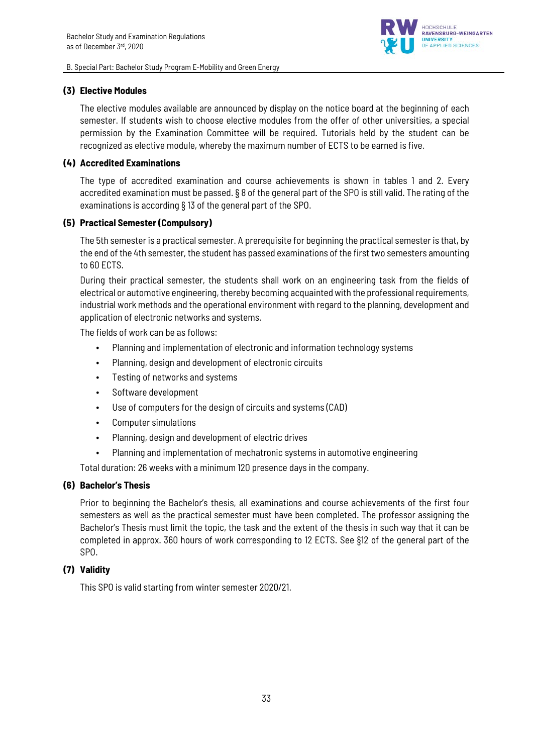

### **(3) Elective Modules**

The elective modules available are announced by display on the notice board at the beginning of each semester. If students wish to choose elective modules from the offer of other universities, a special permission by the Examination Committee will be required. Tutorials held by the student can be recognized as elective module, whereby the maximum number of ECTS to be earned is five.

### **(4) Accredited Examinations**

The type of accredited examination and course achievements is shown in tables 1 and 2. Every accredited examination must be passed. § 8 of the general part of the SPO is still valid. The rating of the examinations is according § 13 of the general part of the SPO.

### **(5) Practical Semester (Compulsory)**

The 5th semester is a practical semester. A prerequisite for beginning the practical semester is that, by the end of the 4th semester, the student has passed examinations of the first two semesters amounting to 60 ECTS.

During their practical semester, the students shall work on an engineering task from the fields of electrical or automotive engineering, thereby becoming acquainted with the professional requirements, industrial work methods and the operational environment with regard to the planning, development and application of electronic networks and systems.

The fields of work can be as follows:

- Planning and implementation of electronic and information technology systems
- Planning, design and development of electronic circuits
- Testing of networks and systems
- Software development
- Use of computers for the design of circuits and systems (CAD)
- Computer simulations
- Planning, design and development of electric drives
- Planning and implementation of mechatronic systems in automotive engineering

Total duration: 26 weeks with a minimum 120 presence days in the company.

### **(6) Bachelor's Thesis**

Prior to beginning the Bachelor's thesis, all examinations and course achievements of the first four semesters as well as the practical semester must have been completed. The professor assigning the Bachelor's Thesis must limit the topic, the task and the extent of the thesis in such way that it can be completed in approx. 360 hours of work corresponding to 12 ECTS. See §12 of the general part of the SPO.

# **(7) Validity**

This SPO is valid starting from winter semester 2020/21.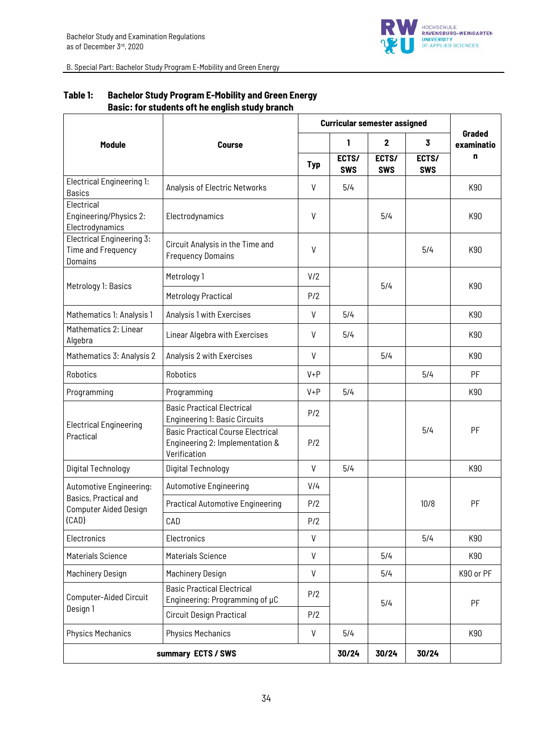

|                                                                |                                                                                             |              | <b>Curricular semester assigned</b> |                     |                     |                      |  |
|----------------------------------------------------------------|---------------------------------------------------------------------------------------------|--------------|-------------------------------------|---------------------|---------------------|----------------------|--|
| Module                                                         | <b>Course</b>                                                                               |              | 1                                   | $\mathbf 2$         | 3                   | Graded<br>examinatio |  |
|                                                                |                                                                                             | <b>Typ</b>   | ECTS/<br><b>SWS</b>                 | ECTS/<br><b>SWS</b> | ECTS/<br><b>SWS</b> | n                    |  |
| <b>Electrical Engineering 1:</b><br><b>Basics</b>              | Analysis of Electric Networks                                                               | V            | 5/4                                 |                     |                     | K90                  |  |
| Electrical<br>Engineering/Physics 2:<br>Electrodynamics        | Electrodynamics                                                                             | $\mathsf{V}$ |                                     | 5/4                 |                     | K90                  |  |
| Electrical Engineering 3:<br>Time and Frequency<br>Domains     | Circuit Analysis in the Time and<br><b>Frequency Domains</b>                                | V            |                                     |                     | 5/4                 | K90                  |  |
|                                                                | Metrology 1                                                                                 | V/2          | 5/4<br>P/2                          |                     |                     |                      |  |
| Metrology 1: Basics                                            | <b>Metrology Practical</b>                                                                  |              |                                     |                     |                     | K90                  |  |
| Mathematics 1: Analysis 1                                      | Analysis 1 with Exercises                                                                   | $\vee$       | 5/4                                 |                     |                     | K90                  |  |
| Mathematics 2: Linear<br>Algebra                               | Linear Algebra with Exercises                                                               | V            | 5/4                                 |                     |                     | K90                  |  |
| Mathematics 3: Analysis 2                                      | Analysis 2 with Exercises                                                                   | $\vee$       |                                     | 5/4                 |                     | K90                  |  |
| Robotics                                                       | Robotics                                                                                    | $V + P$      |                                     |                     | 5/4                 | PF                   |  |
| Programming                                                    | Programming                                                                                 | $V + P$      | 5/4                                 |                     |                     | K90                  |  |
| <b>Electrical Engineering</b><br>Practical                     | <b>Basic Practical Electrical</b><br><b>Engineering 1: Basic Circuits</b>                   | P/2          |                                     |                     |                     |                      |  |
|                                                                | <b>Basic Practical Course Electrical</b><br>Engineering 2: Implementation &<br>Verification | P/2          |                                     |                     | 5/4                 | PF                   |  |
| Digital Technology                                             | Digital Technology                                                                          | $\vee$       | 5/4                                 |                     |                     | K90                  |  |
| Automotive Engineering:                                        | <b>Automotive Engineering</b>                                                               | V/4          |                                     |                     |                     |                      |  |
| Basics, Practical and<br><b>Computer Aided Design</b><br>(CAD) | <b>Practical Automotive Engineering</b>                                                     | P/2          |                                     |                     | 10/8                | PF                   |  |
|                                                                | CAD                                                                                         | P/2          |                                     |                     |                     |                      |  |
| Electronics                                                    | Electronics                                                                                 | $\vee$       |                                     |                     | 5/4                 | K90                  |  |
| Materials Science                                              | <b>Materials Science</b>                                                                    | $\mathsf{V}$ |                                     | 5/4                 |                     | K90                  |  |
| Machinery Design                                               | Machinery Design                                                                            | $\mathsf{V}$ |                                     | 5/4                 |                     | K90 or PF            |  |
| Computer-Aided Circuit<br>Design 1                             | <b>Basic Practical Electrical</b><br>Engineering: Programming of µC                         | P/2          |                                     | 5/4                 |                     | PF                   |  |
|                                                                | <b>Circuit Design Practical</b>                                                             | P/2          |                                     |                     |                     |                      |  |
| <b>Physics Mechanics</b>                                       | <b>Physics Mechanics</b>                                                                    | $\mathsf{V}$ | 5/4                                 |                     |                     | K90                  |  |
|                                                                | summary ECTS / SWS                                                                          |              | 30/24                               | 30/24               | 30/24               |                      |  |

# **Table 1: Bachelor Study Program E-Mobility and Green Energy Basic: for students oft he english study branch**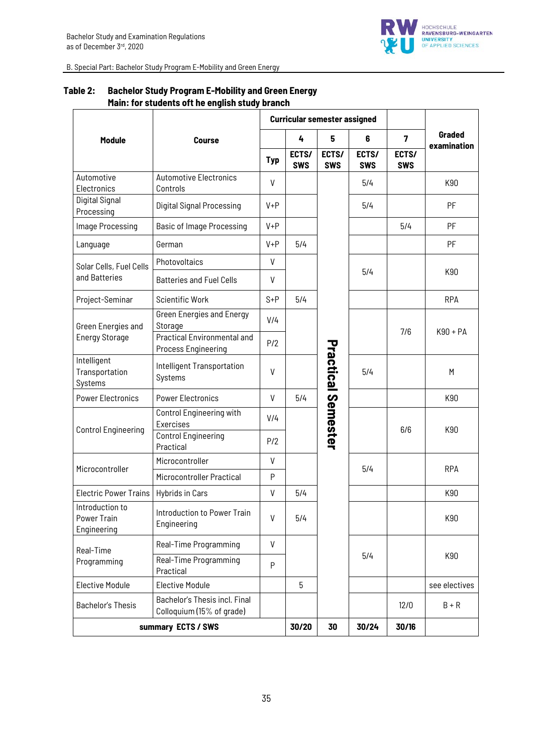

|                                               |                                                                  | <b>Curricular semester assigned</b> |                     |                           |                     |                     |               |
|-----------------------------------------------|------------------------------------------------------------------|-------------------------------------|---------------------|---------------------------|---------------------|---------------------|---------------|
| Module                                        | <b>Course</b>                                                    |                                     | 4                   | 5                         | 6                   | $\overline{7}$      | Graded        |
|                                               |                                                                  | <b>Typ</b>                          | ECTS/<br><b>SWS</b> | ECTS/<br><b>SWS</b>       | ECTS/<br><b>SWS</b> | ECTS/<br><b>SWS</b> | examination   |
| Automotive<br>Electronics                     | <b>Automotive Electronics</b><br>Controls                        | $\mathsf{V}$                        |                     |                           | 5/4                 |                     | K90           |
| Digital Signal<br>Processing                  | Digital Signal Processing                                        | $V + P$                             |                     |                           | 5/4                 |                     | PF            |
| Image Processing                              | <b>Basic of Image Processing</b>                                 | $V + P$                             |                     |                           |                     | 5/4                 | PF            |
| Language                                      | German                                                           | $V + P$                             | 5/4                 |                           |                     |                     | PF            |
| Solar Cells, Fuel Cells                       | Photovoltaics                                                    | $\mathsf{V}$                        |                     |                           |                     |                     |               |
| and Batteries                                 | <b>Batteries and Fuel Cells</b>                                  | V                                   |                     |                           | 5/4                 |                     | K90           |
| Project-Seminar                               | <b>Scientific Work</b>                                           | $S + P$                             | 5/4                 |                           |                     |                     | <b>RPA</b>    |
| Green Energies and                            | <b>Green Energies and Energy</b><br>Storage                      | V/4                                 |                     |                           |                     | 7/6                 | $K90 + PA$    |
| <b>Energy Storage</b>                         | <b>Practical Environmental and</b><br><b>Process Engineering</b> | P/2                                 |                     |                           |                     |                     |               |
| Intelligent<br>Transportation<br>Systems      | Intelligent Transportation<br>Systems                            | $\mathsf{V}$                        |                     | <b>Practical Semester</b> | 5/4                 |                     | M             |
| <b>Power Electronics</b>                      | <b>Power Electronics</b>                                         | $\mathsf{V}$                        | 5/4                 |                           |                     |                     | K90           |
| <b>Control Engineering</b>                    | Control Engineering with<br>Exercises                            | V/4                                 |                     |                           |                     | 6/6                 | K90           |
|                                               | <b>Control Engineering</b><br>Practical                          | P/2                                 |                     |                           |                     |                     |               |
| Microcontroller                               | Microcontroller                                                  | $\mathsf{V}$                        |                     |                           | 5/4                 |                     | <b>RPA</b>    |
|                                               | Microcontroller Practical                                        | P                                   |                     |                           |                     |                     |               |
| <b>Electric Power Trains</b>                  | <b>Hybrids in Cars</b>                                           | V                                   | 5/4                 |                           |                     |                     | K90           |
| Introduction to<br>Power Train<br>Engineering | Introduction to Power Train<br>Engineering                       | $\mathsf{V}$                        | 5/4                 |                           |                     |                     | K90           |
| Real-Time<br>Programming                      | Real-Time Programming                                            | V                                   |                     |                           |                     |                     |               |
|                                               | Real-Time Programming<br>Practical                               | P                                   |                     |                           | 5/4                 |                     | K90           |
| <b>Elective Module</b>                        | <b>Elective Module</b>                                           |                                     | 5                   |                           |                     |                     | see electives |
| <b>Bachelor's Thesis</b>                      | Bachelor's Thesis incl. Final<br>Colloquium (15% of grade)       |                                     |                     |                           |                     | 12/0                | $B + R$       |
| summary ECTS / SWS                            |                                                                  |                                     | 30/20               | 30                        | 30/24               | 30/16               |               |

# **Table 2: Bachelor Study Program E-Mobility and Green Energy Main: for students oft he english study branch**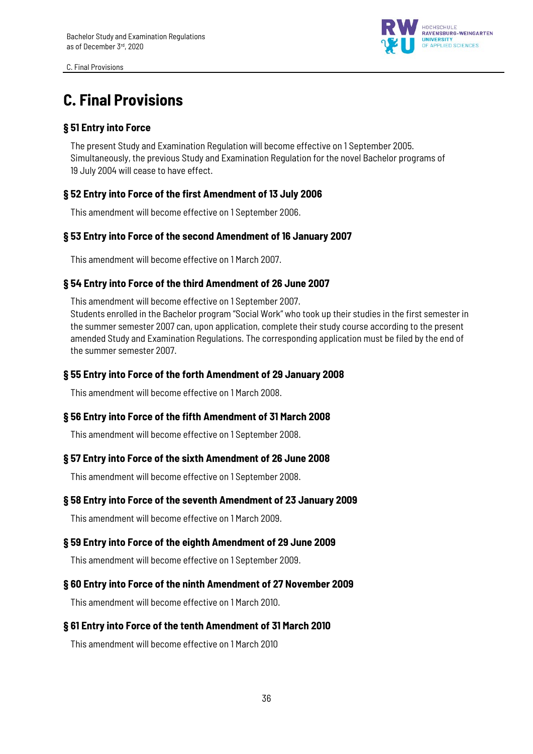C. Final Provisions



# **C. Final Provisions**

# **§ 51 Entry into Force**

The present Study and Examination Regulation will become effective on 1 September 2005. Simultaneously, the previous Study and Examination Regulation for the novel Bachelor programs of 19 July 2004 will cease to have effect.

# **§ 52 Entry into Force of the first Amendment of 13 July 2006**

This amendment will become effective on 1 September 2006.

### **§ 53 Entry into Force of the second Amendment of 16 January 2007**

This amendment will become effective on 1 March 2007.

### **§ 54 Entry into Force of the third Amendment of 26 June 2007**

This amendment will become effective on 1 September 2007.

Students enrolled in the Bachelor program "Social Work" who took up their studies in the first semester in the summer semester 2007 can, upon application, complete their study course according to the present amended Study and Examination Regulations. The corresponding application must be filed by the end of the summer semester 2007.

### **§ 55 Entry into Force of the forth Amendment of 29 January 2008**

This amendment will become effective on 1 March 2008.

### **§ 56 Entry into Force of the fifth Amendment of 31 March 2008**

This amendment will become effective on 1 September 2008.

### **§ 57 Entry into Force of the sixth Amendment of 26 June 2008**

This amendment will become effective on 1 September 2008.

### **§ 58 Entry into Force of the seventh Amendment of 23 January 2009**

This amendment will become effective on 1 March 2009.

### **§ 59 Entry into Force of the eighth Amendment of 29 June 2009**

This amendment will become effective on 1 September 2009.

### **§ 60 Entry into Force of the ninth Amendment of 27 November 2009**

This amendment will become effective on 1 March 2010.

### **§ 61 Entry into Force of the tenth Amendment of 31 March 2010**

This amendment will become effective on 1 March 2010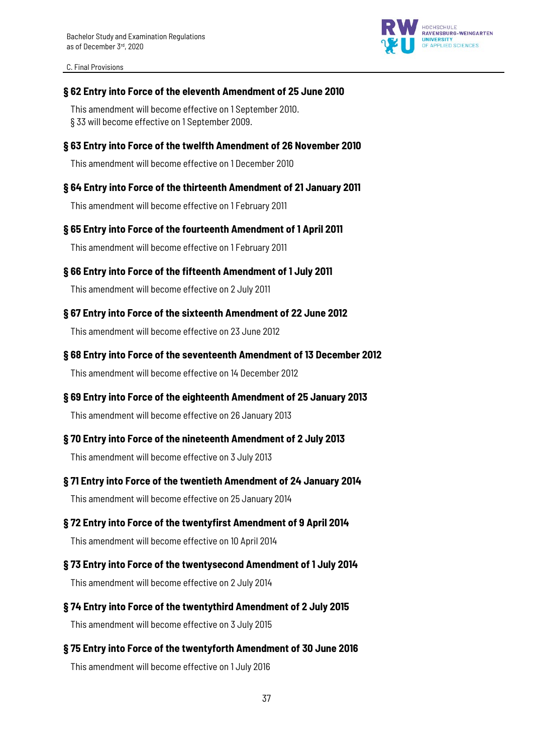C. Final Provisions



### **§ 62 Entry into Force of the eleventh Amendment of 25 June 2010**

This amendment will become effective on 1 September 2010. § 33 will become effective on 1 September 2009.

### **§ 63 Entry into Force of the twelfth Amendment of 26 November 2010**

This amendment will become effective on 1 December 2010

### **§ 64 Entry into Force of the thirteenth Amendment of 21 January 2011**

This amendment will become effective on 1 February 2011

### **§ 65 Entry into Force of the fourteenth Amendment of 1 April 2011**

This amendment will become effective on 1 February 2011

### **§ 66 Entry into Force of the fifteenth Amendment of 1 July 2011**

This amendment will become effective on 2 July 2011

### **§ 67 Entry into Force of the sixteenth Amendment of 22 June 2012**

This amendment will become effective on 23 June 2012

### **§ 68 Entry into Force of the seventeenth Amendment of 13 December 2012**

This amendment will become effective on 14 December 2012

### **§ 69 Entry into Force of the eighteenth Amendment of 25 January 2013**

This amendment will become effective on 26 January 2013

### **§ 70 Entry into Force of the nineteenth Amendment of 2 July 2013**

This amendment will become effective on 3 July 2013

### **§ 71 Entry into Force of the twentieth Amendment of 24 January 2014**

This amendment will become effective on 25 January 2014

### **§ 72 Entry into Force of the twentyfirst Amendment of 9 April 2014**

This amendment will become effective on 10 April 2014

# **§ 73 Entry into Force of the twentysecond Amendment of 1 July 2014**

This amendment will become effective on 2 July 2014

# **§ 74 Entry into Force of the twentythird Amendment of 2 July 2015**

This amendment will become effective on 3 July 2015

### **§ 75 Entry into Force of the twentyforth Amendment of 30 June 2016**

This amendment will become effective on 1 July 2016